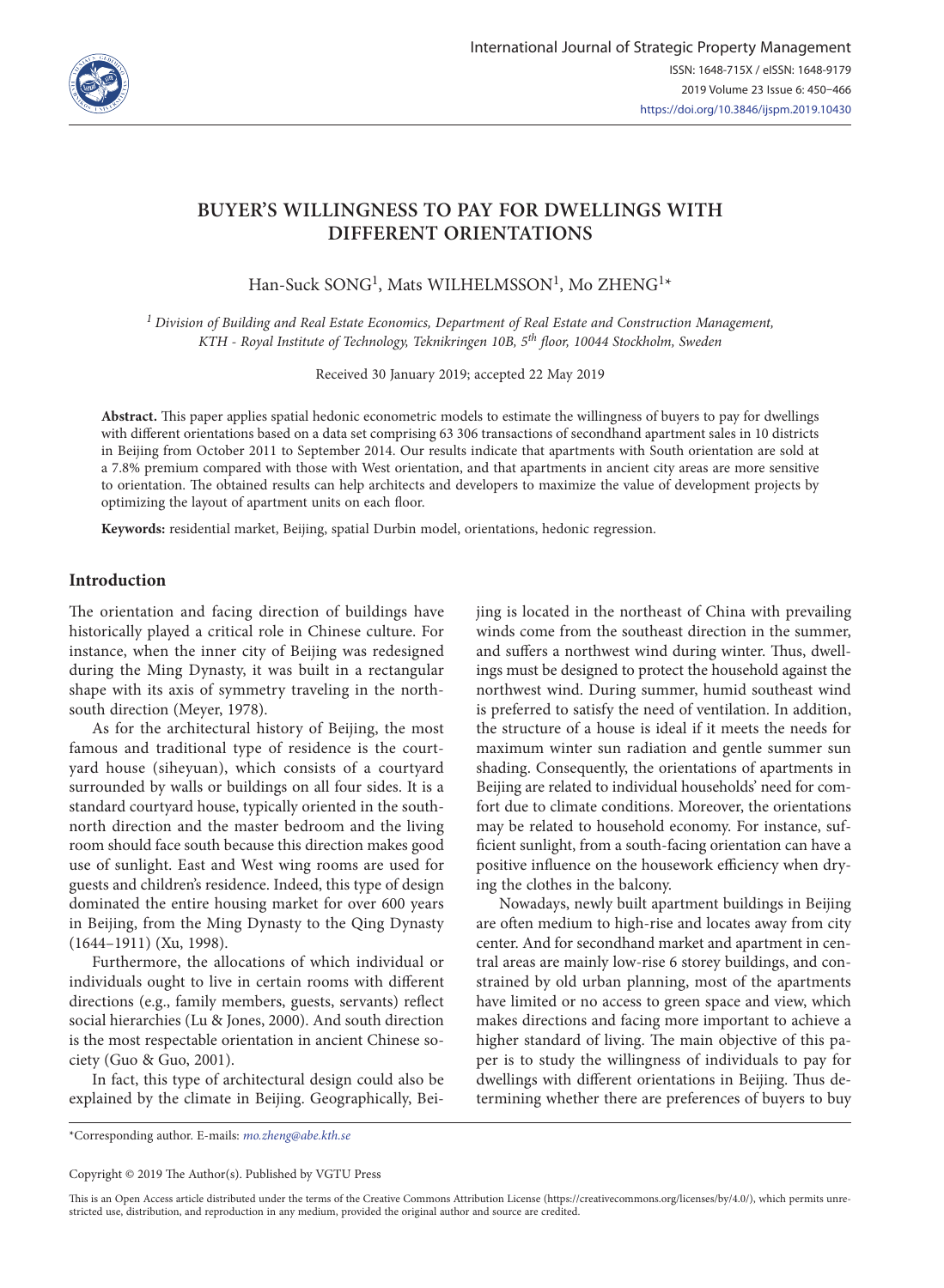

# **BUYER'S WILLINGNESS TO PAY FOR DWELLINGS WITH DIFFERENT ORIENTATIONS**

Han-Suck SONG<sup>1</sup>, Mats WILHELMSSON<sup>1</sup>, Mo ZHENG<sup>1\*</sup>

*1 Division of Building and Real Estate Economics, Department of Real Estate and Construction Management, KTH - Royal Institute of Technology, Teknikringen 10B, 5th floor, 10044 Stockholm, Sweden*

Received 30 January 2019; accepted 22 May 2019

**Abstract.** This paper applies spatial hedonic econometric models to estimate the willingness of buyers to pay for dwellings with different orientations based on a data set comprising 63 306 transactions of secondhand apartment sales in 10 districts in Beijing from October 2011 to September 2014. Our results indicate that apartments with South orientation are sold at a 7.8% premium compared with those with West orientation, and that apartments in ancient city areas are more sensitive to orientation. The obtained results can help architects and developers to maximize the value of development projects by optimizing the layout of apartment units on each floor.

**Keywords:** residential market, Beijing, spatial Durbin model, orientations, hedonic regression.

## **Introduction**

The orientation and facing direction of buildings have historically played a critical role in Chinese culture. For instance, when the inner city of Beijing was redesigned during the Ming Dynasty, it was built in a rectangular shape with its axis of symmetry traveling in the northsouth direction (Meyer, 1978).

As for the architectural history of Beijing, the most famous and traditional type of residence is the courtyard house (siheyuan), which consists of a courtyard surrounded by walls or buildings on all four sides. It is a standard courtyard house, typically oriented in the southnorth direction and the master bedroom and the living room should face south because this direction makes good use of sunlight. East and West wing rooms are used for guests and children's residence. Indeed, this type of design dominated the entire housing market for over 600 years in Beijing, from the Ming Dynasty to the Qing Dynasty (1644–1911) (Xu, 1998).

Furthermore, the allocations of which individual or individuals ought to live in certain rooms with different directions (e.g., family members, guests, servants) reflect social hierarchies (Lu & Jones, 2000). And south direction is the most respectable orientation in ancient Chinese society (Guo & Guo, 2001).

In fact, this type of architectural design could also be explained by the climate in Beijing. Geographically, Beijing is located in the northeast of China with prevailing winds come from the southeast direction in the summer, and suffers a northwest wind during winter. Thus, dwellings must be designed to protect the household against the northwest wind. During summer, humid southeast wind is preferred to satisfy the need of ventilation. In addition, the structure of a house is ideal if it meets the needs for maximum winter sun radiation and gentle summer sun shading. Consequently, the orientations of apartments in Beijing are related to individual households' need for comfort due to climate conditions. Moreover, the orientations may be related to household economy. For instance, sufficient sunlight, from a south-facing orientation can have a positive influence on the housework efficiency when drying the clothes in the balcony.

Nowadays, newly built apartment buildings in Beijing are often medium to high-rise and locates away from city center. And for secondhand market and apartment in central areas are mainly low-rise 6 storey buildings, and constrained by old urban planning, most of the apartments have limited or no access to green space and view, which makes directions and facing more important to achieve a higher standard of living. The main objective of this paper is to study the willingness of individuals to pay for dwellings with different orientations in Beijing. Thus determining whether there are preferences of buyers to buy

This is an Open Access article distributed under the terms of the Creative Commons Attribution License [\(https://creativecommons.org/licenses/by/4.0/\)](http://creativecommons.org/licenses/by/4.0/), which permits unrestricted use, distribution, and reproduction in any medium, provided the original author and source are credited.

<sup>\*</sup>Corresponding author. E-mails: *[mo.zheng@abe.kth.se](mailto:mo.zheng@abe.kth.se)*

Copyright © 2019 The Author(s). Published by VGTU Press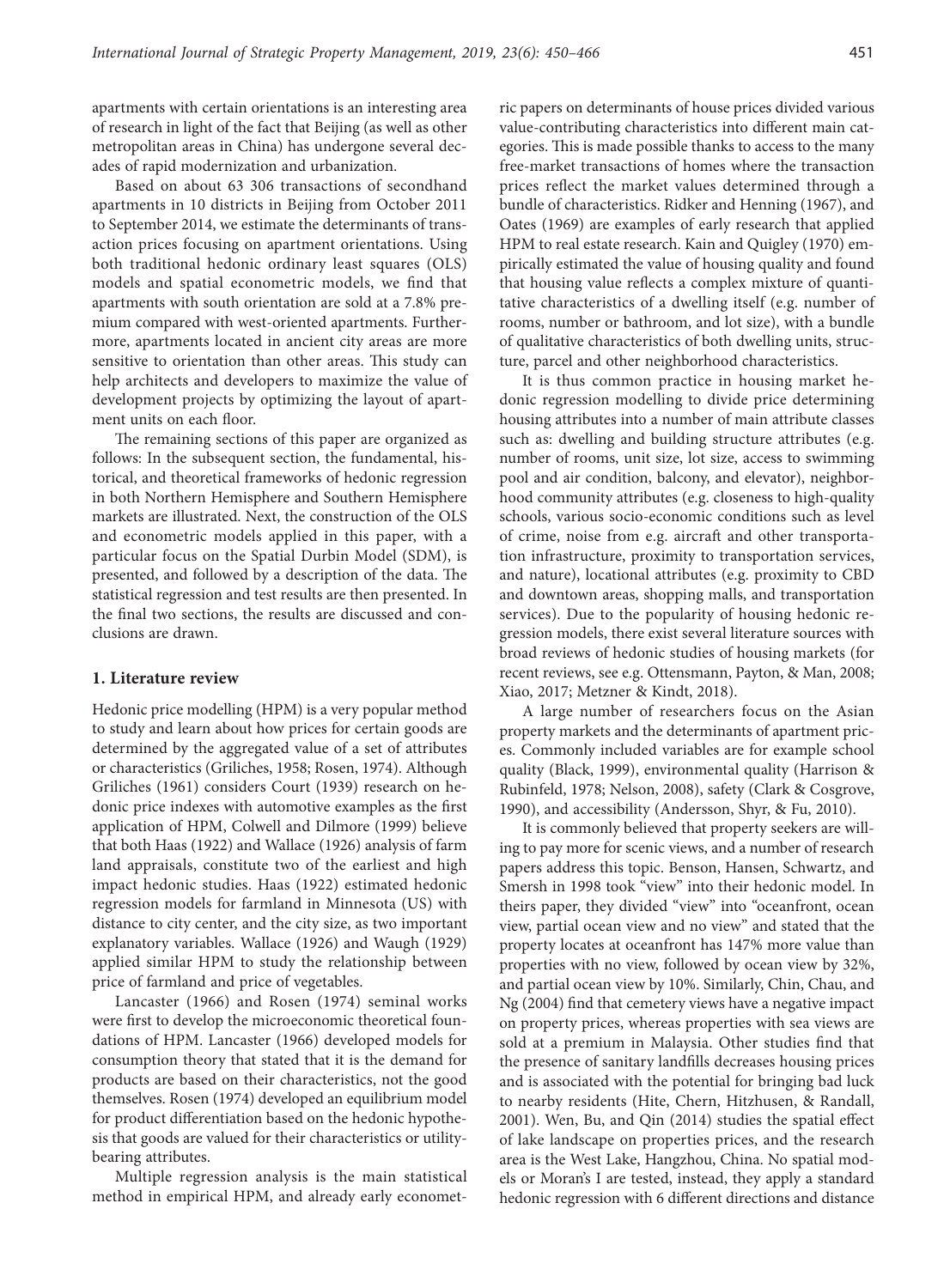apartments with certain orientations is an interesting area of research in light of the fact that Beijing (as well as other metropolitan areas in China) has undergone several decades of rapid modernization and urbanization.

Based on about 63 306 transactions of secondhand apartments in 10 districts in Beijing from October 2011 to September 2014, we estimate the determinants of transaction prices focusing on apartment orientations. Using both traditional hedonic ordinary least squares (OLS) models and spatial econometric models, we find that apartments with south orientation are sold at a 7.8% premium compared with west-oriented apartments. Furthermore, apartments located in ancient city areas are more sensitive to orientation than other areas. This study can help architects and developers to maximize the value of development projects by optimizing the layout of apartment units on each floor.

The remaining sections of this paper are organized as follows: In the subsequent section, the fundamental, historical, and theoretical frameworks of hedonic regression in both Northern Hemisphere and Southern Hemisphere markets are illustrated. Next, the construction of the OLS and econometric models applied in this paper, with a particular focus on the Spatial Durbin Model (SDM), is presented, and followed by a description of the data. The statistical regression and test results are then presented. In the final two sections, the results are discussed and conclusions are drawn.

### **1. Literature review**

Hedonic price modelling (HPM) is a very popular method to study and learn about how prices for certain goods are determined by the aggregated value of a set of attributes or characteristics (Griliches, 1958; Rosen, 1974). Although Griliches (1961) considers Court (1939) research on hedonic price indexes with automotive examples as the first application of HPM, Colwell and Dilmore (1999) believe that both Haas (1922) and Wallace (1926) analysis of farm land appraisals, constitute two of the earliest and high impact hedonic studies. Haas (1922) estimated hedonic regression models for farmland in Minnesota (US) with distance to city center, and the city size, as two important explanatory variables. Wallace (1926) and Waugh (1929) applied similar HPM to study the relationship between price of farmland and price of vegetables.

Lancaster (1966) and Rosen (1974) seminal works were first to develop the microeconomic theoretical foundations of HPM. Lancaster (1966) developed models for consumption theory that stated that it is the demand for products are based on their characteristics, not the good themselves. Rosen (1974) developed an equilibrium model for product differentiation based on the hedonic hypothesis that goods are valued for their characteristics or utilitybearing attributes.

Multiple regression analysis is the main statistical method in empirical HPM, and already early econometric papers on determinants of house prices divided various value-contributing characteristics into different main categories. This is made possible thanks to access to the many free-market transactions of homes where the transaction prices reflect the market values determined through a bundle of characteristics. Ridker and Henning (1967), and Oates (1969) are examples of early research that applied HPM to real estate research. Kain and Quigley (1970) empirically estimated the value of housing quality and found that housing value reflects a complex mixture of quantitative characteristics of a dwelling itself (e.g. number of rooms, number or bathroom, and lot size), with a bundle of qualitative characteristics of both dwelling units, structure, parcel and other neighborhood characteristics.

It is thus common practice in housing market hedonic regression modelling to divide price determining housing attributes into a number of main attribute classes such as: dwelling and building structure attributes (e.g. number of rooms, unit size, lot size, access to swimming pool and air condition, balcony, and elevator), neighborhood community attributes (e.g. closeness to high-quality schools, various socio-economic conditions such as level of crime, noise from e.g. aircraft and other transportation infrastructure, proximity to transportation services, and nature), locational attributes (e.g. proximity to CBD and downtown areas, shopping malls, and transportation services). Due to the popularity of housing hedonic regression models, there exist several literature sources with broad reviews of hedonic studies of housing markets (for recent reviews, see e.g. Ottensmann, Payton, & Man, 2008; Xiao, 2017; Metzner & Kindt, 2018).

A large number of researchers focus on the Asian property markets and the determinants of apartment prices. Commonly included variables are for example school quality (Black, 1999), environmental quality (Harrison & Rubinfeld, 1978; Nelson, 2008), safety (Clark & Cosgrove, 1990), and accessibility (Andersson, Shyr, & Fu, 2010).

It is commonly believed that property seekers are willing to pay more for scenic views, and a number of research papers address this topic. Benson, Hansen, Schwartz, and Smersh in 1998 took "view" into their hedonic model. In theirs paper, they divided "view" into "oceanfront, ocean view, partial ocean view and no view" and stated that the property locates at oceanfront has 147% more value than properties with no view, followed by ocean view by 32%, and partial ocean view by 10%. Similarly, Chin, Chau, and Ng (2004) find that cemetery views have a negative impact on property prices, whereas properties with sea views are sold at a premium in Malaysia. Other studies find that the presence of sanitary landfills decreases housing prices and is associated with the potential for bringing bad luck to nearby residents (Hite, Chern, Hitzhusen, & Randall, 2001). Wen, Bu, and Qin (2014) studies the spatial effect of lake landscape on properties prices, and the research area is the West Lake, Hangzhou, China. No spatial models or Moran's I are tested, instead, they apply a standard hedonic regression with 6 different directions and distance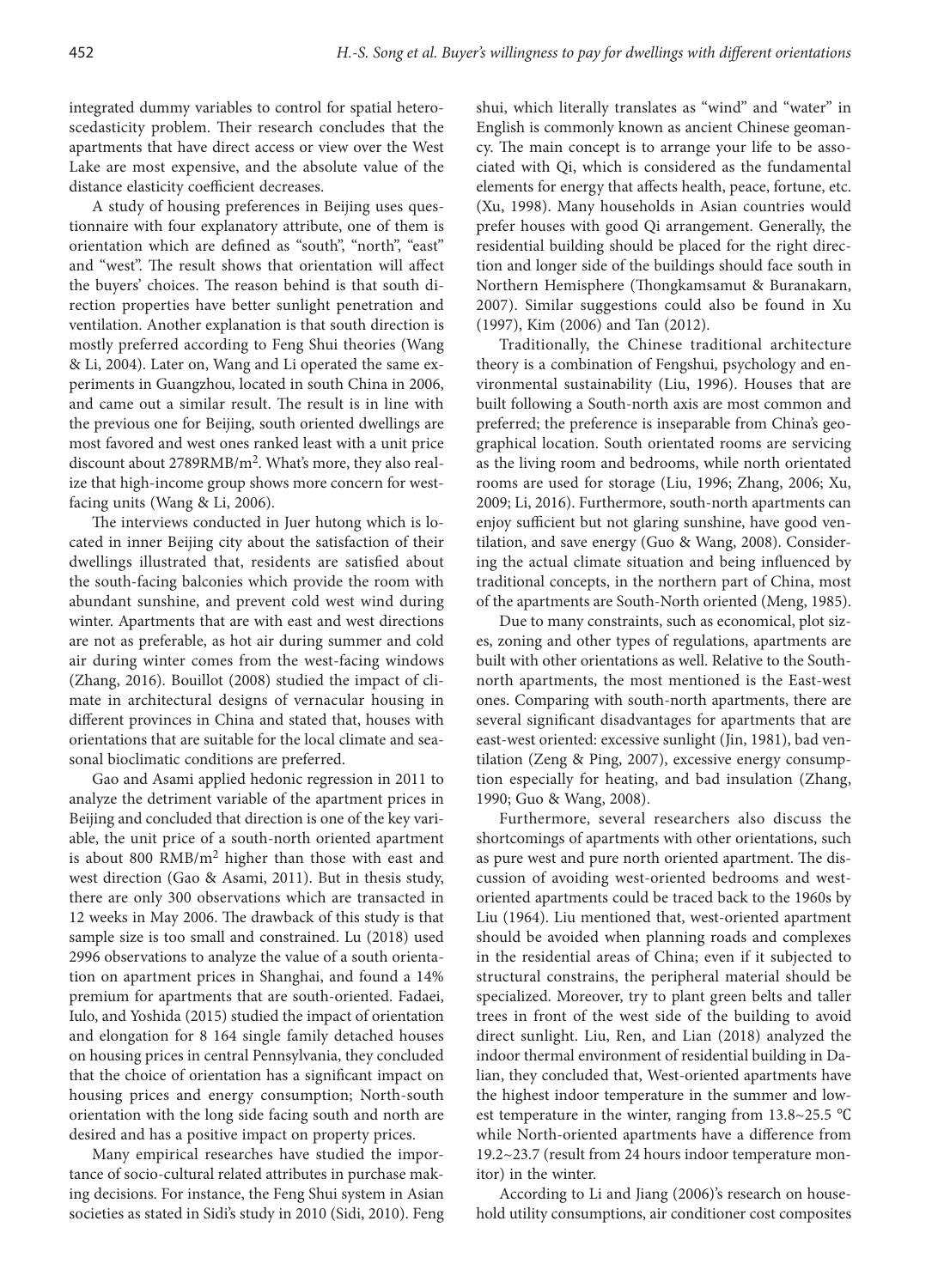integrated dummy variables to control for spatial heteroscedasticity problem. Their research concludes that the apartments that have direct access or view over the West Lake are most expensive, and the absolute value of the distance elasticity coefficient decreases.

A study of housing preferences in Beijing uses questionnaire with four explanatory attribute, one of them is orientation which are defined as "south", "north", "east" and "west". The result shows that orientation will affect the buyers' choices. The reason behind is that south direction properties have better sunlight penetration and ventilation. Another explanation is that south direction is mostly preferred according to Feng Shui theories (Wang & Li, 2004). Later on, Wang and Li operated the same experiments in Guangzhou, located in south China in 2006, and came out a similar result. The result is in line with the previous one for Beijing, south oriented dwellings are most favored and west ones ranked least with a unit price discount about 2789RMB/m2. What's more, they also realize that high-income group shows more concern for westfacing units (Wang & Li, 2006).

The interviews conducted in Juer hutong which is located in inner Beijing city about the satisfaction of their dwellings illustrated that, residents are satisfied about the south-facing balconies which provide the room with abundant sunshine, and prevent cold west wind during winter. Apartments that are with east and west directions are not as preferable, as hot air during summer and cold air during winter comes from the west-facing windows (Zhang, 2016). Bouillot (2008) studied the impact of climate in architectural designs of vernacular housing in different provinces in China and stated that, houses with orientations that are suitable for the local climate and seasonal bioclimatic conditions are preferred.

Gao and Asami applied hedonic regression in 2011 to analyze the detriment variable of the apartment prices in Beijing and concluded that direction is one of the key variable, the unit price of a south-north oriented apartment is about 800  $RMB/m<sup>2</sup>$  higher than those with east and west direction (Gao & Asami, 2011). But in thesis study, there are only 300 observations which are transacted in 12 weeks in May 2006. The drawback of this study is that sample size is too small and constrained. Lu (2018) used 2996 observations to analyze the value of a south orientation on apartment prices in Shanghai, and found a 14% premium for apartments that are south-oriented. Fadaei, Iulo, and Yoshida (2015) studied the impact of orientation and elongation for 8 164 single family detached houses on housing prices in central Pennsylvania, they concluded that the choice of orientation has a significant impact on housing prices and energy consumption; North-south orientation with the long side facing south and north are desired and has a positive impact on property prices.

Many empirical researches have studied the importance of socio-cultural related attributes in purchase making decisions. For instance, the Feng Shui system in Asian societies as stated in Sidi's study in 2010 (Sidi, 2010). Feng shui, which literally translates as "wind" and "water" in English is commonly known as ancient Chinese geomancy. The main concept is to arrange your life to be associated with Qi, which is considered as the fundamental elements for energy that affects health, peace, fortune, etc. (Xu, 1998). Many households in Asian countries would prefer houses with good Qi arrangement. Generally, the residential building should be placed for the right direction and longer side of the buildings should face south in Northern Hemisphere (Thongkamsamut & Buranakarn, 2007). Similar suggestions could also be found in Xu (1997), Kim (2006) and Tan (2012).

Traditionally, the Chinese traditional architecture theory is a combination of Fengshui, psychology and environmental sustainability (Liu, 1996). Houses that are built following a South-north axis are most common and preferred; the preference is inseparable from China's geographical location. South orientated rooms are servicing as the living room and bedrooms, while north orientated rooms are used for storage (Liu, 1996; Zhang, 2006; Xu, 2009; Li, 2016). Furthermore, south-north apartments can enjoy sufficient but not glaring sunshine, have good ventilation, and save energy (Guo & Wang, 2008). Considering the actual climate situation and being influenced by traditional concepts, in the northern part of China, most of the apartments are South-North oriented (Meng, 1985).

Due to many constraints, such as economical, plot sizes, zoning and other types of regulations, apartments are built with other orientations as well. Relative to the Southnorth apartments, the most mentioned is the East-west ones. Comparing with south-north apartments, there are several significant disadvantages for apartments that are east-west oriented: excessive sunlight (Jin, 1981), bad ventilation (Zeng & Ping, 2007), excessive energy consumption especially for heating, and bad insulation (Zhang, 1990; Guo & Wang, 2008).

Furthermore, several researchers also discuss the shortcomings of apartments with other orientations, such as pure west and pure north oriented apartment. The discussion of avoiding west-oriented bedrooms and westoriented apartments could be traced back to the 1960s by Liu (1964). Liu mentioned that, west-oriented apartment should be avoided when planning roads and complexes in the residential areas of China; even if it subjected to structural constrains, the peripheral material should be specialized. Moreover, try to plant green belts and taller trees in front of the west side of the building to avoid direct sunlight. Liu, Ren, and Lian (2018) analyzed the indoor thermal environment of residential building in Dalian, they concluded that, West-oriented apartments have the highest indoor temperature in the summer and lowest temperature in the winter, ranging from 13.8~25.5 ℃ while North-oriented apartments have a difference from 19.2~23.7 (result from 24 hours indoor temperature monitor) in the winter.

According to Li and Jiang (2006)'s research on household utility consumptions, air conditioner cost composites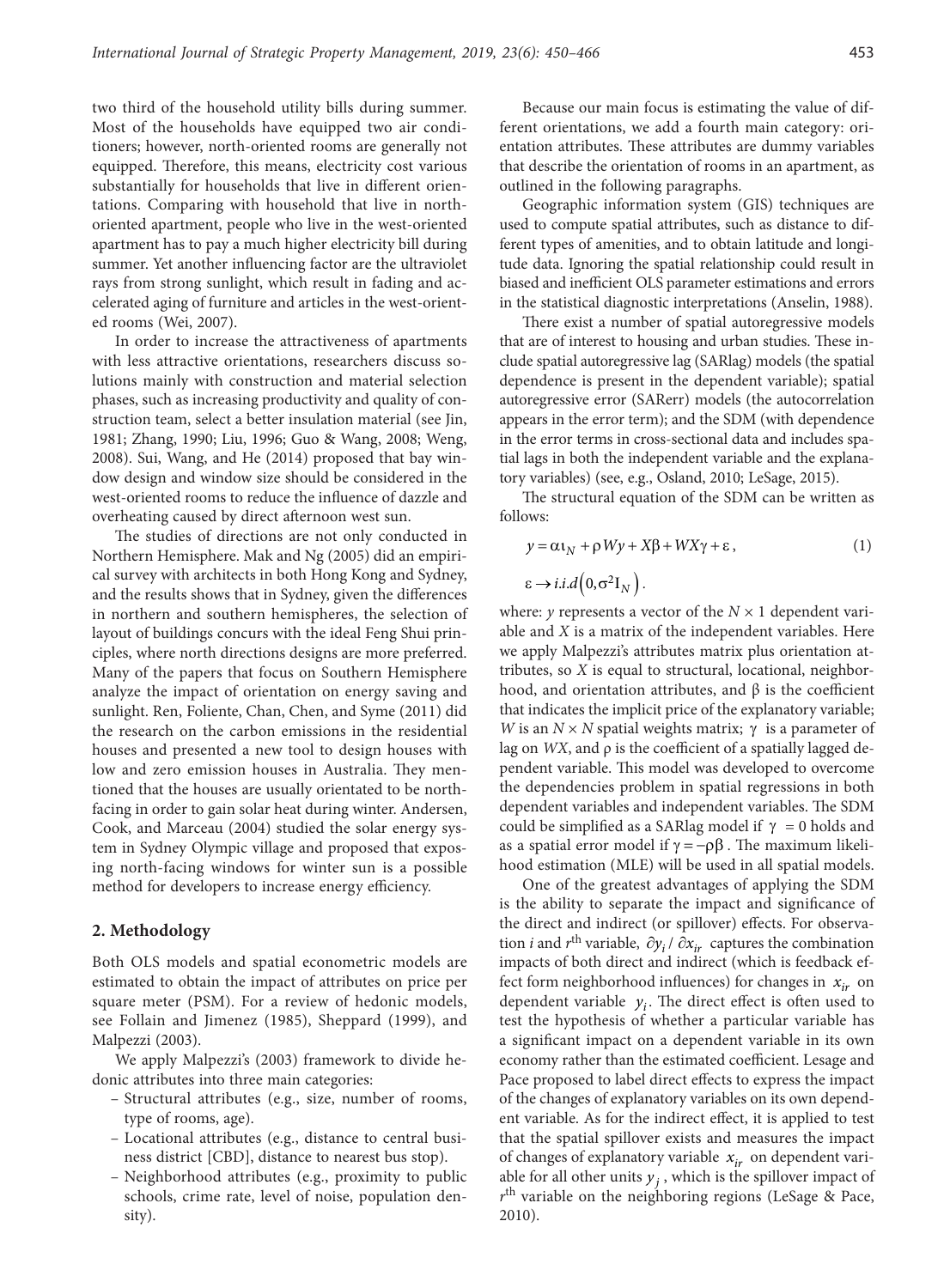two third of the household utility bills during summer. Most of the households have equipped two air conditioners; however, north-oriented rooms are generally not equipped. Therefore, this means, electricity cost various substantially for households that live in different orientations. Comparing with household that live in northoriented apartment, people who live in the west-oriented apartment has to pay a much higher electricity bill during summer. Yet another influencing factor are the ultraviolet rays from strong sunlight, which result in fading and accelerated aging of furniture and articles in the west-oriented rooms (Wei, 2007).

In order to increase the attractiveness of apartments with less attractive orientations, researchers discuss solutions mainly with construction and material selection phases, such as increasing productivity and quality of construction team, select a better insulation material (see Jin, 1981; Zhang, 1990; Liu, 1996; Guo & Wang, 2008; Weng, 2008). Sui, Wang, and He (2014) proposed that bay window design and window size should be considered in the west-oriented rooms to reduce the influence of dazzle and overheating caused by direct afternoon west sun.

The studies of directions are not only conducted in Northern Hemisphere. Mak and Ng (2005) did an empirical survey with architects in both Hong Kong and Sydney, and the results shows that in Sydney, given the differences in northern and southern hemispheres, the selection of layout of buildings concurs with the ideal Feng Shui principles, where north directions designs are more preferred. Many of the papers that focus on Southern Hemisphere analyze the impact of orientation on energy saving and sunlight. Ren, Foliente, Chan, Chen, and Syme (2011) did the research on the carbon emissions in the residential houses and presented a new tool to design houses with low and zero emission houses in Australia. They mentioned that the houses are usually orientated to be northfacing in order to gain solar heat during winter. Andersen, Cook, and Marceau (2004) studied the solar energy system in Sydney Olympic village and proposed that exposing north-facing windows for winter sun is a possible method for developers to increase energy efficiency.

## **2. Methodology**

Both OLS models and spatial econometric models are estimated to obtain the impact of attributes on price per square meter (PSM). For a review of hedonic models, see Follain and Jimenez (1985), Sheppard (1999), and Malpezzi (2003).

We apply Malpezzi's (2003) framework to divide hedonic attributes into three main categories:

- Structural attributes (e.g., size, number of rooms, type of rooms, age).
- Locational attributes (e.g., distance to central business district [CBD], distance to nearest bus stop).
- Neighborhood attributes (e.g., proximity to public schools, crime rate, level of noise, population density).

Because our main focus is estimating the value of different orientations, we add a fourth main category: orientation attributes. These attributes are dummy variables that describe the orientation of rooms in an apartment, as outlined in the following paragraphs.

Geographic information system (GIS) techniques are used to compute spatial attributes, such as distance to different types of amenities, and to obtain latitude and longitude data. Ignoring the spatial relationship could result in biased and inefficient OLS parameter estimations and errors in the statistical diagnostic interpretations (Anselin, 1988).

There exist a number of spatial autoregressive models that are of interest to housing and urban studies. These include spatial autoregressive lag (SARlag) models (the spatial dependence is present in the dependent variable); spatial autoregressive error (SARerr) models (the autocorrelation appears in the error term); and the SDM (with dependence in the error terms in cross-sectional data and includes spatial lags in both the independent variable and the explanatory variables) (see, e.g., Osland, 2010; LeSage, 2015).

The structural equation of the SDM can be written as follows:

$$
y = \alpha \mathbf{1}_N + \rho W y + X \beta + W X \gamma + \varepsilon, \qquad (1)
$$

$$
\varepsilon \to i.i.d\left(0,\sigma^2I_N\right).
$$

where: *y* represents a vector of the  $N \times 1$  dependent variable and *X* is a matrix of the independent variables. Here we apply Malpezzi's attributes matrix plus orientation attributes, so *X* is equal to structural, locational, neighborhood, and orientation attributes, and  $β$  is the coefficient that indicates the implicit price of the explanatory variable; *W* is an  $N \times N$  spatial weights matrix;  $\gamma$  is a parameter of lag on *WX*, and ρ is the coefficient of a spatially lagged dependent variable. This model was developed to overcome the dependencies problem in spatial regressions in both dependent variables and independent variables. The SDM could be simplified as a SARlag model if  $\gamma = 0$  holds and as a spatial error model if  $\gamma = -\rho \beta$ . The maximum likelihood estimation (MLE) will be used in all spatial models.

One of the greatest advantages of applying the SDM is the ability to separate the impact and significance of the direct and indirect (or spillover) effects. For observation *i* and  $r^{\text{th}}$  variable,  $\partial y_i / \partial x_i$  captures the combination impacts of both direct and indirect (which is feedback effect form neighborhood influences) for changes in  $x_{ir}$  on dependent variable  $y_i$ . The direct effect is often used to test the hypothesis of whether a particular variable has a significant impact on a dependent variable in its own economy rather than the estimated coefficient. Lesage and Pace proposed to label direct effects to express the impact of the changes of explanatory variables on its own dependent variable. As for the indirect effect, it is applied to test that the spatial spillover exists and measures the impact of changes of explanatory variable  $x_{ir}$  on dependent variable for all other units  $y_j$ , which is the spillover impact of *r*th variable on the neighboring regions (LeSage & Pace, 2010).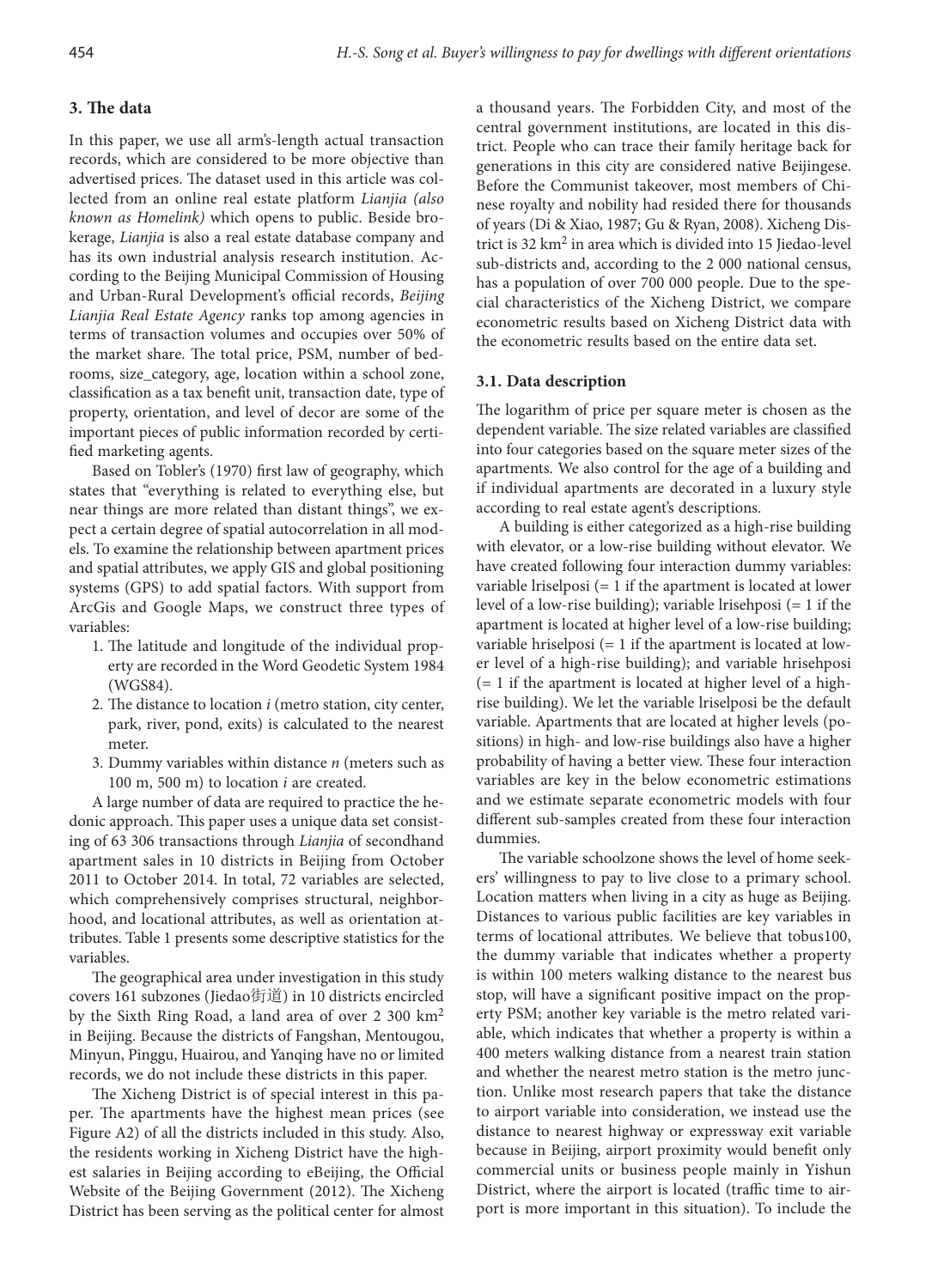## **3. The data**

In this paper, we use all arm's-length actual transaction records, which are considered to be more objective than advertised prices. The dataset used in this article was collected from an online real estate platform *Lianjia (also known as Homelink)* which opens to public. Beside brokerage, *Lianjia* is also a real estate database company and has its own industrial analysis research institution. According to the Beijing Municipal Commission of Housing and Urban-Rural Development's official records, *Beijing Lianjia Real Estate Agency* ranks top among agencies in terms of transaction volumes and occupies over 50% of the market share. The total price, PSM, number of bedrooms, size\_category, age, location within a school zone, classification as a tax benefit unit, transaction date, type of property, orientation, and level of decor are some of the important pieces of public information recorded by certified marketing agents.

Based on Tobler's (1970) first law of geography, which states that "everything is related to everything else, but near things are more related than distant things", we expect a certain degree of spatial autocorrelation in all models. To examine the relationship between apartment prices and spatial attributes, we apply GIS and global positioning systems (GPS) to add spatial factors. With support from ArcGis and Google Maps, we construct three types of variables:

- 1. The latitude and longitude of the individual property are recorded in the Word Geodetic System 1984 (WGS84).
- 2. The distance to location *i* (metro station, city center, park, river, pond, exits) is calculated to the nearest meter.
- 3. Dummy variables within distance *n* (meters such as 100 m, 500 m) to location *i* are created.

A large number of data are required to practice the hedonic approach. This paper uses a unique data set consisting of 63 306 transactions through *Lianjia* of secondhand apartment sales in 10 districts in Beijing from October 2011 to October 2014. In total, 72 variables are selected, which comprehensively comprises structural, neighborhood, and locational attributes, as well as orientation attributes. Table 1 presents some descriptive statistics for the variables.

The geographical area under investigation in this study covers 161 subzones (Jiedao街道) in 10 districts encircled by the Sixth Ring Road, a land area of over 2 300  $km<sup>2</sup>$ in Beijing. Because the districts of Fangshan, Mentougou, Minyun, Pinggu, Huairou, and Yanqing have no or limited records, we do not include these districts in this paper.

The Xicheng District is of special interest in this paper. The apartments have the highest mean prices (see Figure A2) of all the districts included in this study. Also, the residents working in Xicheng District have the highest salaries in Beijing according to eBeijing, the Official Website of the Beijing Government (2012). The Xicheng District has been serving as the political center for almost a thousand years. The Forbidden City, and most of the central government institutions, are located in this district. People who can trace their family heritage back for generations in this city are considered native Beijingese. Before the Communist takeover, most members of Chinese royalty and nobility had resided there for thousands of years (Di & Xiao, 1987; Gu & Ryan, 2008). Xicheng District is 32 km2 in area which is divided into 15 Jiedao-level sub-districts and, according to the 2 000 national census, has a population of over 700 000 people. Due to the special characteristics of the Xicheng District, we compare econometric results based on Xicheng District data with the econometric results based on the entire data set.

## **3.1. Data description**

The logarithm of price per square meter is chosen as the dependent variable. The size related variables are classified into four categories based on the square meter sizes of the apartments. We also control for the age of a building and if individual apartments are decorated in a luxury style according to real estate agent's descriptions.

A building is either categorized as a high-rise building with elevator, or a low-rise building without elevator. We have created following four interaction dummy variables: variable lriselposi (= 1 if the apartment is located at lower level of a low-rise building); variable lrisehposi (= 1 if the apartment is located at higher level of a low-rise building; variable hriselposi (= 1 if the apartment is located at lower level of a high-rise building); and variable hrisehposi (= 1 if the apartment is located at higher level of a highrise building). We let the variable lriselposi be the default variable. Apartments that are located at higher levels (positions) in high- and low-rise buildings also have a higher probability of having a better view. These four interaction variables are key in the below econometric estimations and we estimate separate econometric models with four different sub-samples created from these four interaction dummies.

The variable schoolzone shows the level of home seekers' willingness to pay to live close to a primary school. Location matters when living in a city as huge as Beijing. Distances to various public facilities are key variables in terms of locational attributes. We believe that tobus100, the dummy variable that indicates whether a property is within 100 meters walking distance to the nearest bus stop, will have a significant positive impact on the property PSM; another key variable is the metro related variable, which indicates that whether a property is within a 400 meters walking distance from a nearest train station and whether the nearest metro station is the metro junction. Unlike most research papers that take the distance to airport variable into consideration, we instead use the distance to nearest highway or expressway exit variable because in Beijing, airport proximity would benefit only commercial units or business people mainly in Yishun District, where the airport is located (traffic time to airport is more important in this situation). To include the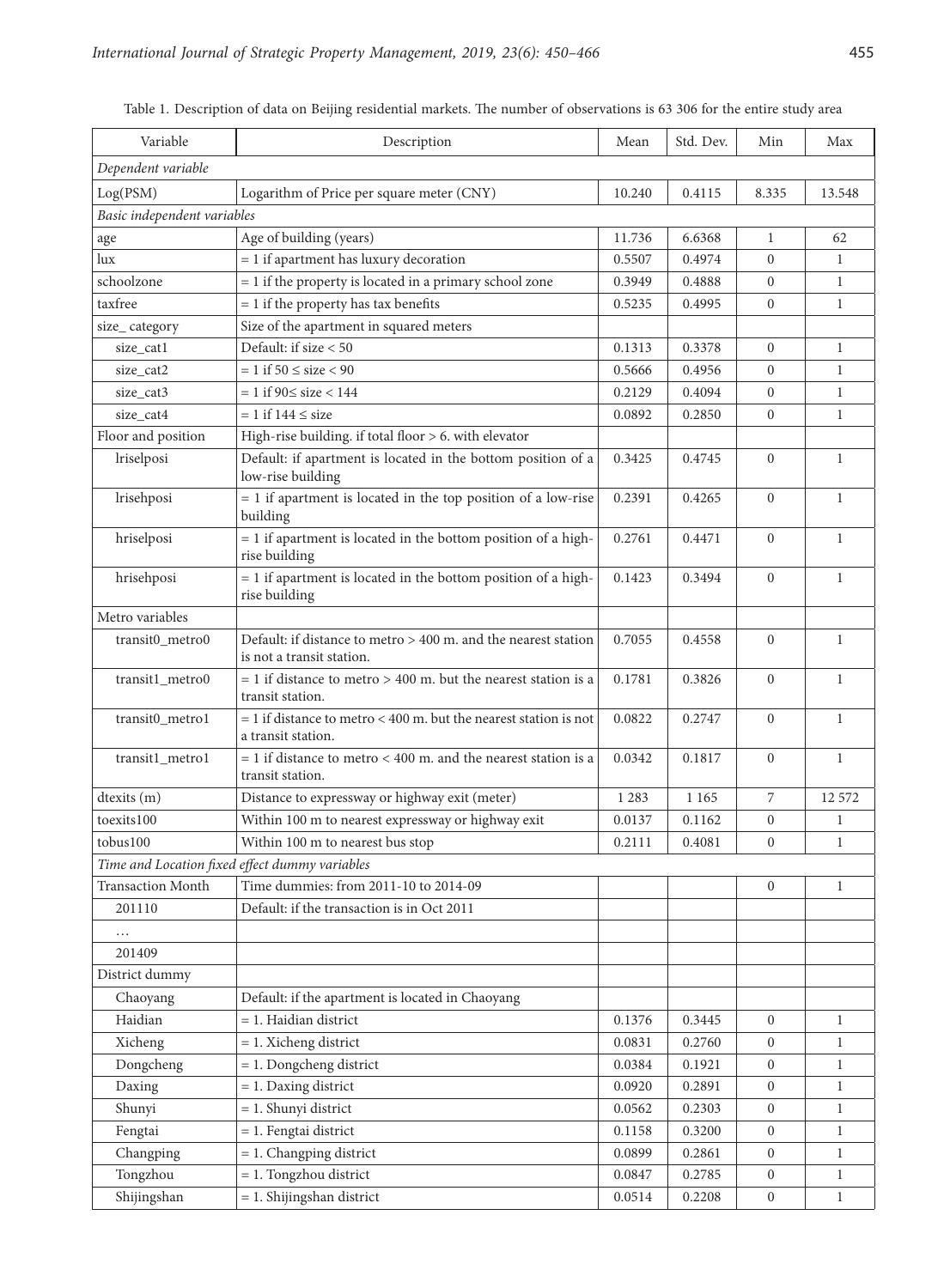| Variable                                       | Description                                                                                 | Mean    | Std. Dev. | Min              | Max          |
|------------------------------------------------|---------------------------------------------------------------------------------------------|---------|-----------|------------------|--------------|
| Dependent variable                             |                                                                                             |         |           |                  |              |
| Log(PSM)                                       | Logarithm of Price per square meter (CNY)                                                   | 10.240  | 0.4115    | 8.335            | 13.548       |
| Basic independent variables                    |                                                                                             |         |           |                  |              |
| age                                            | Age of building (years)                                                                     | 11.736  | 6.6368    | $\mathbf{1}$     | 62           |
| lux                                            | $= 1$ if apartment has luxury decoration                                                    | 0.5507  | 0.4974    | $\Omega$         | $\mathbf{1}$ |
| schoolzone                                     | = 1 if the property is located in a primary school zone                                     | 0.3949  | 0.4888    | $\overline{0}$   | $\mathbf{1}$ |
| taxfree                                        | $= 1$ if the property has tax benefits                                                      | 0.5235  | 0.4995    | $\boldsymbol{0}$ | $\mathbf{1}$ |
| size_category                                  | Size of the apartment in squared meters                                                     |         |           |                  |              |
| size_cat1                                      | Default: if size < 50                                                                       | 0.1313  | 0.3378    | $\Omega$         | $\mathbf{1}$ |
| size_cat2                                      | $= 1$ if 50 $\le$ size $< 90$                                                               | 0.5666  | 0.4956    | $\Omega$         | $\mathbf{1}$ |
| size_cat3                                      | $= 1$ if 90 $\le$ size $< 144$                                                              | 0.2129  | 0.4094    | $\overline{0}$   | $\mathbf{1}$ |
| size_cat4                                      | $= 1$ if $144 \leq$ size                                                                    | 0.0892  | 0.2850    | $\overline{0}$   | $\mathbf{1}$ |
| Floor and position                             | High-rise building. if total floor > 6. with elevator                                       |         |           |                  |              |
| lriselposi                                     | Default: if apartment is located in the bottom position of a<br>low-rise building           | 0.3425  | 0.4745    | $\mathbf{0}$     | $\mathbf{1}$ |
| lrisehposi                                     | $= 1$ if apartment is located in the top position of a low-rise<br>building                 | 0.2391  | 0.4265    | $\mathbf{0}$     | $\mathbf{1}$ |
| hriselposi                                     | $= 1$ if apartment is located in the bottom position of a high-<br>rise building            | 0.2761  | 0.4471    | $\mathbf{0}$     | $\mathbf{1}$ |
| hrisehposi                                     | = 1 if apartment is located in the bottom position of a high-<br>rise building              | 0.1423  | 0.3494    | $\mathbf{0}$     | $\mathbf{1}$ |
| Metro variables                                |                                                                                             |         |           |                  |              |
| transit0_metro0                                | Default: if distance to metro > 400 m. and the nearest station<br>is not a transit station. | 0.7055  | 0.4558    | $\Omega$         | $\mathbf{1}$ |
| transit1_metro0                                | $= 1$ if distance to metro $> 400$ m. but the nearest station is a<br>transit station.      | 0.1781  | 0.3826    | $\Omega$         | $\mathbf{1}$ |
| transit0_metro1                                | $= 1$ if distance to metro < 400 m. but the nearest station is not<br>a transit station.    | 0.0822  | 0.2747    | $\mathbf{0}$     | $\mathbf{1}$ |
| transit1_metro1                                | $= 1$ if distance to metro $< 400$ m. and the nearest station is a<br>transit station.      | 0.0342  | 0.1817    | $\mathbf{0}$     | $\mathbf{1}$ |
| dtexits (m)                                    | Distance to expressway or highway exit (meter)                                              | 1 2 8 3 | 1 1 6 5   | 7                | 12 572       |
| toexits100                                     | Within 100 m to nearest expressway or highway exit                                          | 0.0137  | 0.1162    | $\boldsymbol{0}$ | 1            |
| tobus100                                       | Within 100 m to nearest bus stop                                                            | 0.2111  | 0.4081    | $\boldsymbol{0}$ | $\mathbf{1}$ |
| Time and Location fixed effect dummy variables |                                                                                             |         |           |                  |              |
| <b>Transaction Month</b>                       | Time dummies: from 2011-10 to 2014-09                                                       |         |           | $\overline{0}$   | $\mathbf{1}$ |
| 201110                                         | Default: if the transaction is in Oct 2011                                                  |         |           |                  |              |
| .                                              |                                                                                             |         |           |                  |              |
| 201409                                         |                                                                                             |         |           |                  |              |
| District dummy                                 |                                                                                             |         |           |                  |              |
| Chaoyang                                       | Default: if the apartment is located in Chaoyang                                            |         |           |                  |              |
| Haidian                                        | = 1. Haidian district                                                                       | 0.1376  | 0.3445    | $\overline{0}$   | $\mathbf{1}$ |
| Xicheng                                        | $= 1$ . Xicheng district                                                                    | 0.0831  | 0.2760    | $\overline{0}$   | $\mathbf{1}$ |
| Dongcheng                                      | $= 1.$ Dongcheng district                                                                   | 0.0384  | 0.1921    | $\overline{0}$   | $\mathbf{1}$ |
| Daxing                                         | $= 1.$ Daxing district                                                                      | 0.0920  | 0.2891    | $\overline{0}$   | $\mathbf{1}$ |
| Shunyi                                         | = 1. Shunyi district                                                                        | 0.0562  | 0.2303    | $\overline{0}$   | $\mathbf{1}$ |
| Fengtai                                        | = 1. Fengtai district                                                                       | 0.1158  | 0.3200    | $\overline{0}$   | $\mathbf{1}$ |
| Changping                                      | = 1. Changping district                                                                     | 0.0899  | 0.2861    | $\overline{0}$   | $\mathbf{1}$ |
| Tongzhou                                       | $= 1$ . Tongzhou district                                                                   | 0.0847  | 0.2785    | $\overline{0}$   | $\mathbf{1}$ |
| Shijingshan                                    | $= 1$ . Shijingshan district                                                                | 0.0514  | 0.2208    | $\overline{0}$   | $\mathbf{1}$ |

Table 1. Description of data on Beijing residential markets. The number of observations is 63 306 for the entire study area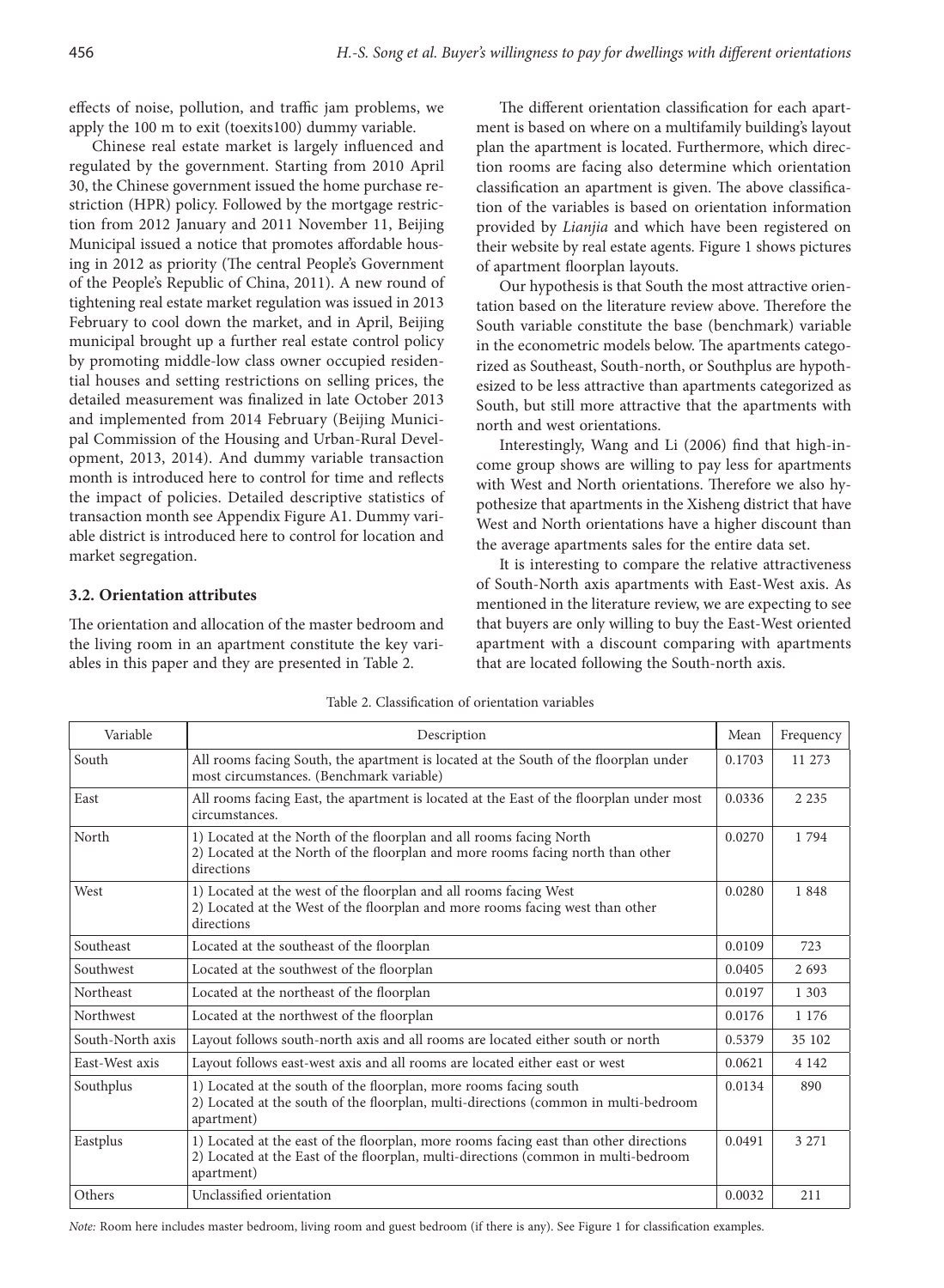effects of noise, pollution, and traffic jam problems, we apply the 100 m to exit (toexits100) dummy variable.

Chinese real estate market is largely influenced and regulated by the government. Starting from 2010 April 30, the Chinese government issued the home purchase restriction (HPR) policy. Followed by the mortgage restriction from 2012 January and 2011 November 11, Beijing Municipal issued a notice that promotes affordable housing in 2012 as priority (The central People's Government of the People's Republic of China, 2011). A new round of tightening real estate market regulation was issued in 2013 February to cool down the market, and in April, Beijing municipal brought up a further real estate control policy by promoting middle-low class owner occupied residential houses and setting restrictions on selling prices, the detailed measurement was finalized in late October 2013 and implemented from 2014 February (Beijing Municipal Commission of the Housing and Urban-Rural Development, 2013, 2014). And dummy variable transaction month is introduced here to control for time and reflects the impact of policies. Detailed descriptive statistics of transaction month see Appendix Figure A1. Dummy variable district is introduced here to control for location and market segregation.

## **3.2. Orientation attributes**

The orientation and allocation of the master bedroom and the living room in an apartment constitute the key variables in this paper and they are presented in Table 2.

The different orientation classification for each apartment is based on where on a multifamily building's layout plan the apartment is located. Furthermore, which direction rooms are facing also determine which orientation classification an apartment is given. The above classification of the variables is based on orientation information provided by *Lianjia* and which have been registered on their website by real estate agents. Figure 1 shows pictures of apartment floorplan layouts.

Our hypothesis is that South the most attractive orientation based on the literature review above. Therefore the South variable constitute the base (benchmark) variable in the econometric models below. The apartments categorized as Southeast, South-north, or Southplus are hypothesized to be less attractive than apartments categorized as South, but still more attractive that the apartments with north and west orientations.

Interestingly, Wang and Li (2006) find that high-income group shows are willing to pay less for apartments with West and North orientations. Therefore we also hypothesize that apartments in the Xisheng district that have West and North orientations have a higher discount than the average apartments sales for the entire data set.

It is interesting to compare the relative attractiveness of South-North axis apartments with East-West axis. As mentioned in the literature review, we are expecting to see that buyers are only willing to buy the East-West oriented apartment with a discount comparing with apartments that are located following the South-north axis.

| Variable         | Description                                                                                                                                                                               | Mean   | Frequency |
|------------------|-------------------------------------------------------------------------------------------------------------------------------------------------------------------------------------------|--------|-----------|
| South            | All rooms facing South, the apartment is located at the South of the floorplan under<br>most circumstances. (Benchmark variable)                                                          | 0.1703 | 11 273    |
| East             | All rooms facing East, the apartment is located at the East of the floorplan under most<br>circumstances.                                                                                 | 0.0336 | 2 2 3 5   |
| North            | 1) Located at the North of the floorplan and all rooms facing North<br>2) Located at the North of the floorplan and more rooms facing north than other<br>directions                      | 0.0270 | 1794      |
| West             | 1) Located at the west of the floorplan and all rooms facing West<br>2) Located at the West of the floorplan and more rooms facing west than other<br>directions                          | 0.0280 | 1848      |
| Southeast        | Located at the southeast of the floorplan                                                                                                                                                 | 0.0109 | 723       |
| Southwest        | Located at the southwest of the floorplan                                                                                                                                                 | 0.0405 | 2693      |
| Northeast        | Located at the northeast of the floorplan                                                                                                                                                 | 0.0197 | 1 3 0 3   |
| Northwest        | Located at the northwest of the floorplan                                                                                                                                                 | 0.0176 | 1 1 7 6   |
| South-North axis | Layout follows south-north axis and all rooms are located either south or north                                                                                                           | 0.5379 | 35 102    |
| East-West axis   | Layout follows east-west axis and all rooms are located either east or west                                                                                                               | 0.0621 | 4 1 4 2   |
| Southplus        | 1) Located at the south of the floorplan, more rooms facing south<br>2) Located at the south of the floorplan, multi-directions (common in multi-bedroom<br>apartment)                    | 0.0134 | 890       |
| Eastplus         | 1) Located at the east of the floorplan, more rooms facing east than other directions<br>2) Located at the East of the floorplan, multi-directions (common in multi-bedroom<br>apartment) | 0.0491 | 3 2 7 1   |
| Others           | Unclassified orientation                                                                                                                                                                  | 0.0032 | 211       |

Table 2. Classification of orientation variables

*Note:* Room here includes master bedroom, living room and guest bedroom (if there is any). See Figure 1 for classification examples.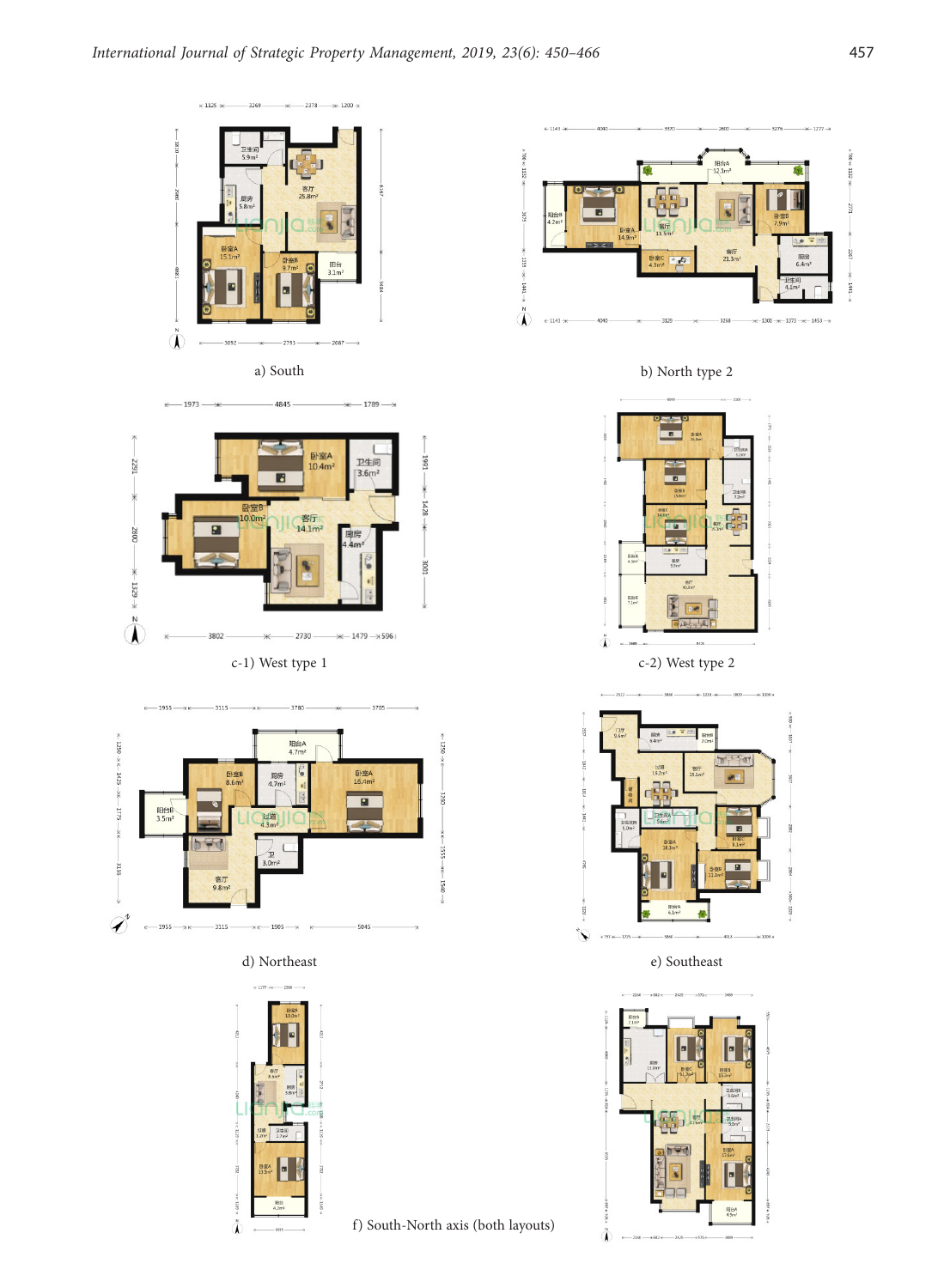



 $-1789 \rightarrow$ 

 $\xrightarrow{+}$  1973 –









f) South-North axis (both layouts)



a) South b) North type 2





d) Northeast e) Southeast

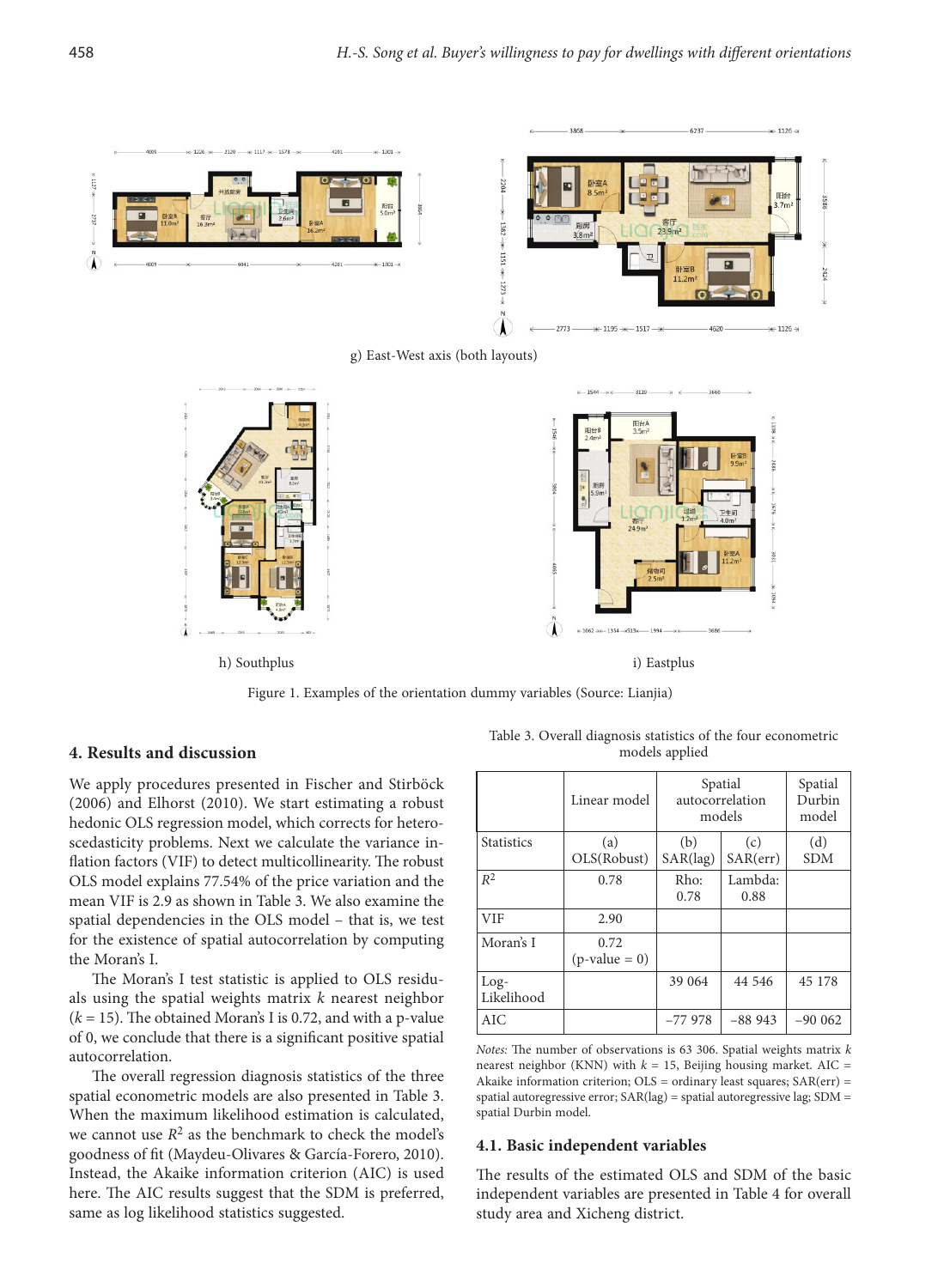

g) East-West axis (both layouts)



Figure 1. Examples of the orientation dummy variables (Source: Lianjia)

## **4. Results and discussion**

We apply procedures presented in Fischer and Stirböck (2006) and Elhorst (2010). We start estimating a robust hedonic OLS regression model, which corrects for heteroscedasticity problems. Next we calculate the variance inflation factors (VIF) to detect multicollinearity. The robust OLS model explains 77.54% of the price variation and the mean VIF is 2.9 as shown in Table 3. We also examine the spatial dependencies in the OLS model – that is, we test for the existence of spatial autocorrelation by computing the Moran's I.

The Moran's I test statistic is applied to OLS residuals using the spatial weights matrix *k* nearest neighbor  $(k = 15)$ . The obtained Moran's I is 0.72, and with a p-value of 0, we conclude that there is a significant positive spatial autocorrelation.

The overall regression diagnosis statistics of the three spatial econometric models are also presented in Table 3. When the maximum likelihood estimation is calculated, we cannot use  $R^2$  as the benchmark to check the model's goodness of fit (Maydeu-Olivares & García-Forero, 2010). Instead, the Akaike information criterion (AIC) is used here. The AIC results suggest that the SDM is preferred, same as log likelihood statistics suggested.

Table 3. Overall diagnosis statistics of the four econometric models applied

|                      | Linear model            |                          | Spatial<br>autocorrelation<br>models | Spatial<br>Durbin<br>model |
|----------------------|-------------------------|--------------------------|--------------------------------------|----------------------------|
| <b>Statistics</b>    | (a)<br>OLS(Robust)      | (b)<br>$SAR(\text{lag})$ | (c)<br>SAR(err)                      | (d)<br><b>SDM</b>          |
| $R^2$                | 0.78                    | Rho:<br>0.78             | Lambda:<br>0.88                      |                            |
| <b>VIF</b>           | 2.90                    |                          |                                      |                            |
| Moran's I            | 0.72<br>$(p-value = 0)$ |                          |                                      |                            |
| $Log-$<br>Likelihood |                         | 39 064                   | 44 546                               | 45 178                     |
| AIC.                 |                         | $-77978$                 | $-88943$                             | $-900062$                  |

*Notes:* The number of observations is 63 306. Spatial weights matrix *k* nearest neighbor (KNN) with  $k = 15$ , Beijing housing market. AIC = Akaike information criterion; OLS = ordinary least squares; SAR(err) = spatial autoregressive error; SAR(lag) = spatial autoregressive lag; SDM = spatial Durbin model.

#### **4.1. Basic independent variables**

The results of the estimated OLS and SDM of the basic independent variables are presented in Table 4 for overall study area and Xicheng district.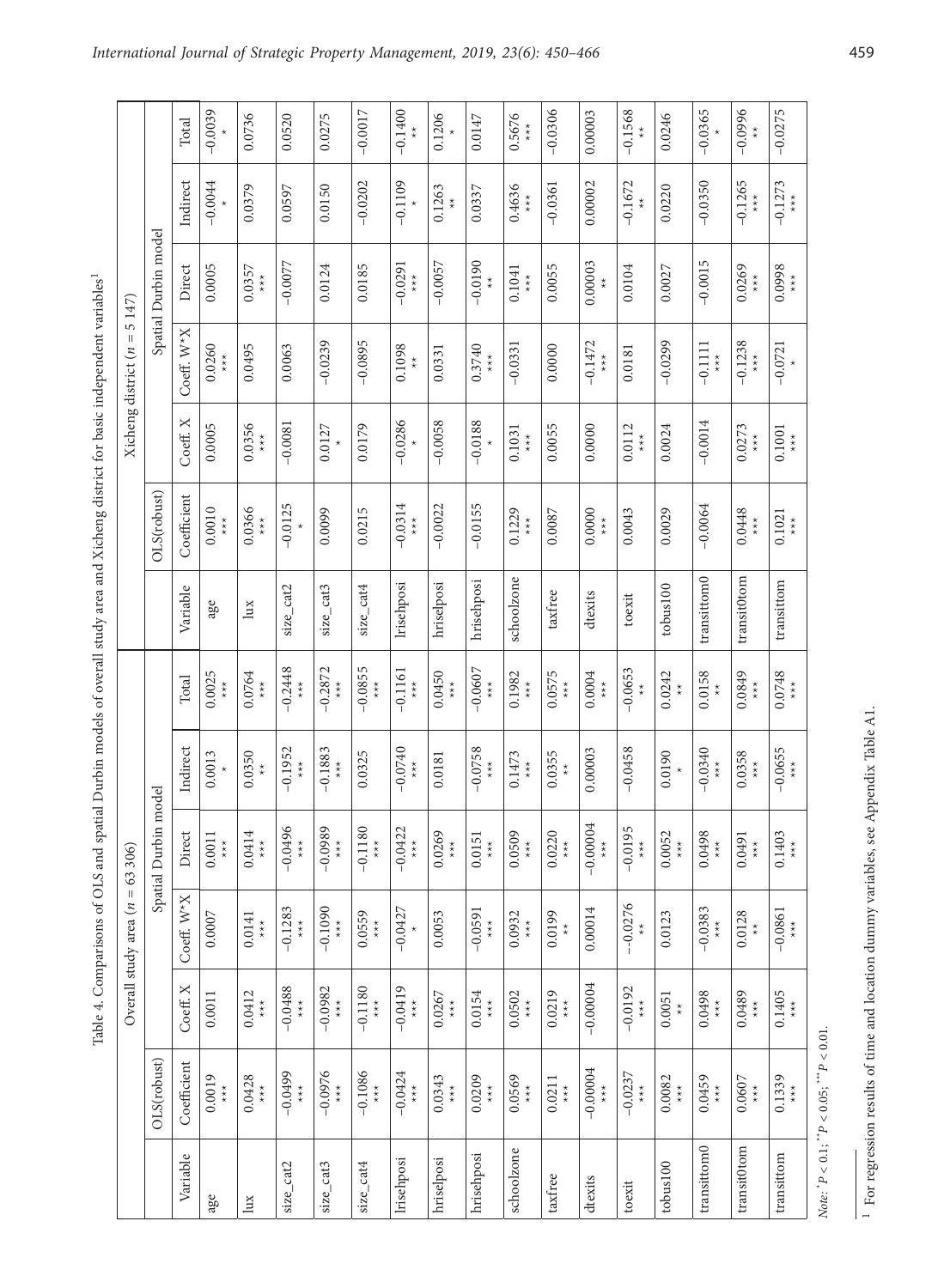Table 4. Comparisons of OLS and spatial Durbin models of overall study area and Xicheng district for basic independent variables<sup>1</sup>

|                                                                                                                                                          |                           |                      | Total                   | $-0.0039$                                             | 0.0736                              | 0.0520                            | 0.0275                                 | $-0.0017$                              | $-0.1400$                                           | 0.1206                              | 0.0147                                 | 0.5676<br>$*$<br>$*$                | $-0.0306$                           | 0.00003                                 | $-0.1568$                                                | 0.0246                              | $-0.0365$                               | $-0.0996$                           | $-0.0275$                                        |
|----------------------------------------------------------------------------------------------------------------------------------------------------------|---------------------------|----------------------|-------------------------|-------------------------------------------------------|-------------------------------------|-----------------------------------|----------------------------------------|----------------------------------------|-----------------------------------------------------|-------------------------------------|----------------------------------------|-------------------------------------|-------------------------------------|-----------------------------------------|----------------------------------------------------------|-------------------------------------|-----------------------------------------|-------------------------------------|--------------------------------------------------|
|                                                                                                                                                          |                           |                      | Indirect                | $-0.0044$                                             | 0.0379                              | 0.0597                            | 0.0150                                 | $-0.0202$                              | $-0.1109$                                           | 0.1263<br>$\underset{\star}{\star}$ | 0.0337                                 | 0.4636<br>$\underset{\star}{\star}$ | $-0.0361$                           | 0.00002                                 | $-0.1672$                                                | 0.0220                              | $-0.0350$                               | $-0.1265$<br>$\star\star\star$      | $-0.1273$<br>$\star\atop\star\star$              |
|                                                                                                                                                          | 5147)                     | Spatial Durbin model | Direct                  | 0.0005                                                | 0.0357<br>$*_{*}$                   | $-0.0077$                         | 0.0124                                 | 0.0185                                 | $-0.0291$<br>$\stackrel{\star}{\underset{\star}{}}$ | $-0.0057$                           | $-0.0190$<br>$\underset{\star}{\star}$ | 0.1041<br>$*_{*}$                   | 0.0055                              | 0.00003                                 | 0.0104                                                   | 0.0027                              | $-0.0015$                               | 0.0269<br>$*$<br>$*$                | 0.0998<br>$\stackrel{\star}{\underset{\star}{}}$ |
|                                                                                                                                                          | Xicheng district $(n =$   |                      | Coeff. W <sup>*</sup> X | 0.0260<br>$\stackrel{\star}{\underset{\star}{\star}}$ | 0.0495                              | 0.0063                            | $-0.0239$                              | $-0.0895$                              | 0.1098<br>$\stackrel{\star}{\star}$                 | 0.0331                              | 0.3740<br>$\star\star\star$            | $-0.0331$                           | 0.0000                              | $-0.1472$<br>$\underset{\star}{\star}$  | 0.0181                                                   | $-0.0299$                           | $-0.1111$<br>$*$<br>$*$                 | $-0.1238$<br>$*$<br>$*$             | $-0.0721$                                        |
|                                                                                                                                                          |                           |                      | Coeff. X                | 0.0005                                                | 0.0356<br>$\underset{\star}{\star}$ | $-0.0081$                         | 0.0127                                 | 0.0179                                 | $-0.0286$                                           | $-0.0058$                           | $-0.0188$                              | 0.1031<br>$*_{*}$                   | 0.0055                              | 0.0000                                  | 0.0112<br>$\star\star\star$                              | 0.0024                              | $-0.0014$                               | 0.0273<br>$*_{*}$                   | 0.1001<br>$\underset{\star}{\star}$              |
|                                                                                                                                                          |                           | OLS(robust)          | Coefficient             | 0.0010<br>$*_{*}$                                     | 0.0366<br>$\underset{\star}{\star}$ | $-0.0125$                         | 0.0099                                 | 0.0215                                 | $-0.0314$<br>$*_{*}$                                | $-0.0022$                           | $-0.0155$                              | 0.1229<br>$*_{*}$                   | 0.0087                              | 0.0000<br>$\stackrel{\star}{\star}$     | 0.0043                                                   | 0.0029                              | $-0.0064$                               | 0.0448<br>$*_{*}$                   | 0.1021<br>$*$<br>$*$                             |
| Table 4. Comparisons of OLS and spatial Durbin models of overall study area and Xicheng district for basic independent variables <sup>1</sup><br>63 306) |                           |                      | Variable                | age                                                   | $\lim$                              | size_cat2                         | size_cat3                              | size_cat4                              | Irisehposi                                          | hriselposi                          | hrisehposi                             | schoolzone                          | taxfree                             | dtexits                                 | toexit                                                   | tobus100                            | transittom0                             | transit0tom                         | transittom                                       |
|                                                                                                                                                          |                           |                      | Total                   | 0.0025<br>$*_{*}$                                     | 0.0764<br>$*_{*}$                   | $-0.2448$<br>$*_{*}$              | $-0.2872$<br>$*_{*}$                   | $-0.0855$<br>$*_{*}$                   | $-0.1161$<br>$*$<br>$*$                             | 0.0450<br>$\star\star$              | $-0.0607$<br>$*_{*}$                   | 0.1982<br>$*_{*}$                   | 0.0575<br>$*_{*}$                   | 0.0004<br>$*_{*}$                       | $-0.0653$<br>$\ddot{\ddot{\cdot}}$                       | 0.0242<br>$\stackrel{\star}{\star}$ | 0.0158<br>$\stackrel{\star}{\star}$     | 0.0849<br>$\star\star\star$         | 0.0748<br>$\underset{\star}{\star}$              |
|                                                                                                                                                          |                           |                      | Indirect                | 0.0013                                                | 0.0350<br>$\stackrel{\star}{\star}$ | $-0.1952$<br>$*_{*}$              | $-0.1883$<br>$*_{*}$                   | 0.0325                                 | $-0.0740$<br>$\star\star$                           | 0.0181                              | $-0.0758$<br>$\star\star\star$         | 0.1473<br>$*$<br>$*$                | 0.0355<br>$\stackrel{\star}{\star}$ | 0.00003                                 | $-0.0458$                                                | 0.0190                              | $-0.0340$<br>$\stackrel{\star}{\star}$  | 0.0358<br>$\underset{\star}{\star}$ | $-0.0655$<br>***                                 |
|                                                                                                                                                          |                           | Spatial Durbin model | Direct                  | 0.001<br>$*_{*}$                                      | 4<br>0.041<br>$*_{*}$               | $\circ$<br>$-0.049$<br>$*$<br>$*$ | $-0.0989$<br>$\star\star$              | $-0.1180$<br>$\star\star$              | $-0.0422$<br>$*_{*}$                                | 0.0269<br>$*_{*}$                   | 0.0151<br>$*_{*}$                      | 0.0509<br>$*_{*}$                   | 0.0220<br>$*$<br>$*$                | $-0.00004$<br>$\underset{\star}{\star}$ | ம்<br>$-0.019$<br>$\underset{\star}{\star}$              | 0.0052<br>$*_{*}$                   | 0.0498<br>$\underset{\star}{\star}$     | 0.0491<br>$\underset{\star}{\star}$ | 0.1403<br>$\underset{\star}{\star}$              |
|                                                                                                                                                          | Overall study area $(n =$ |                      | Coeff. W <sup>*</sup> X | 0.0007                                                | 0.0141<br>$*$<br>$*$                | $-0.1283$<br>$*_{*}$              | $-0.1090$<br>$*_{*}$                   | 0.0559<br>$\underset{\star}{\star}$    | $-0.0427$                                           | 0.0053                              | $-0.0591$<br>$*_{*}$                   | 0.0932<br>$\underset{\star}{\star}$ | 0.0199                              | 0.00014                                 | $-0.0276$                                                | 0.0123                              | $-0.0383$<br>$\star\star$               | 0.0128<br>$\ddot{\ast}$             | $-0.0861$<br>$*_{*}$                             |
|                                                                                                                                                          |                           |                      | Coeff. X                | 0.0011                                                | 0.0412<br>$*_{*}$                   | $-0.0488$<br>***                  | $-0.0982$<br>$*_{*}$                   | $-0.1180$<br>$\underset{\star}{\star}$ | $-0.0419$<br>$*_{*}$                                | 0.0267<br>$\star\star\star$         | 0.0154<br>$\star\star\star$            | 0.0502<br>$*_{*}$                   | 0.0219<br>$\stackrel{\star}{\star}$ | $-0.00004$                              | $-0.0192$<br>$\stackrel{\star}{\underset{\star}{\star}}$ | 0.0051<br>$_{\star}^{\star}$        | 0.0498<br>$\star\atop \star\atop \star$ | 0.0489<br>$\underset{\star}{\star}$ | 0.1405<br>$*_{*}$                                |
|                                                                                                                                                          |                           | OLS(robust)          | Coefficient             | 0.0019<br>$\stackrel{\star}{\star}$                   | 0.0428<br>$*$<br>$*$                | $-0.0499$<br>$*_{*}$              | $-0.0976$<br>$\underset{\star}{\star}$ | $-0.1086$<br>$*_{**}$                  | $-0.0424$<br>$*_{*}$                                | 0.0343<br>$\star\star\star$         | 0.0209<br>$\underset{\star}{\star}$    | 0.0569<br>$*_{*}$                   | 0.0211                              | $-0.00004$<br>$\underset{\star}{\star}$ | $-0.0237$<br>$\underset{\star}{\star}$                   | 0.0082<br>$\underset{\star}{\star}$ | 0.0459<br>$\underset{\star}{\star}$     | 0.0607<br>$\underset{\star}{\star}$ | 0.1339<br>$\underset{\star}{\star}$              |
|                                                                                                                                                          |                           |                      | Variable                | age                                                   | $\lim$                              | size_cat2                         | $size\_cat3$                           | size_cat4                              | Irisehposi                                          | hriselposi                          | hrisehposi                             | schoolzone                          | taxfree                             | dtexits                                 | toexit                                                   | tobus <sub>100</sub>                | transittom0                             | transit0tom                         | transittom                                       |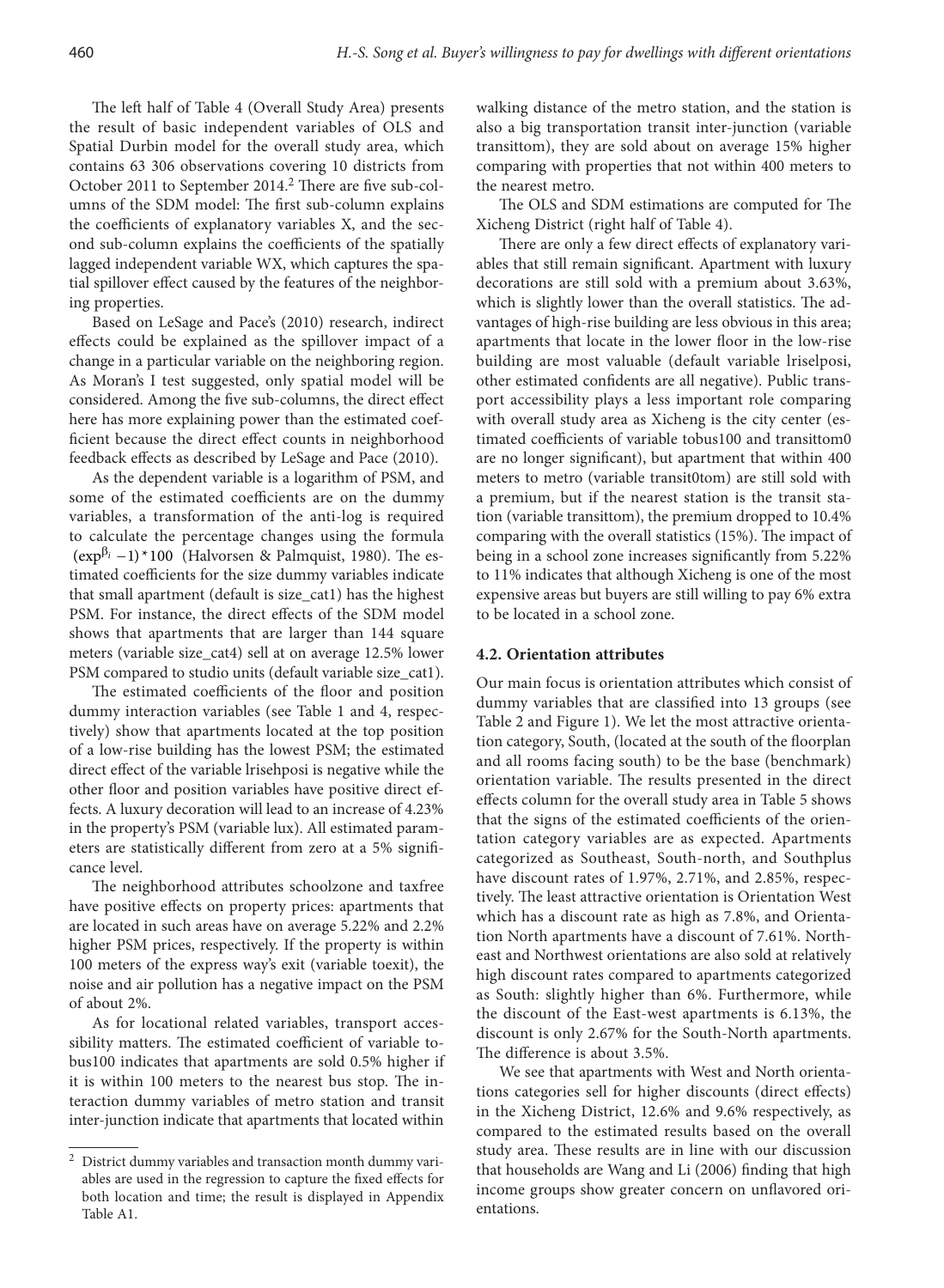The left half of Table 4 (Overall Study Area) presents the result of basic independent variables of OLS and Spatial Durbin model for the overall study area, which contains 63 306 observations covering 10 districts from October 2011 to September 2014.<sup>2</sup> There are five sub-columns of the SDM model: The first sub-column explains the coefficients of explanatory variables X, and the second sub-column explains the coefficients of the spatially lagged independent variable WX, which captures the spatial spillover effect caused by the features of the neighboring properties.

Based on LeSage and Pace's (2010) research, indirect effects could be explained as the spillover impact of a change in a particular variable on the neighboring region. As Moran's I test suggested, only spatial model will be considered. Among the five sub-columns, the direct effect here has more explaining power than the estimated coefficient because the direct effect counts in neighborhood feedback effects as described by LeSage and Pace (2010).

As the dependent variable is a logarithm of PSM, and some of the estimated coefficients are on the dummy variables, a transformation of the anti-log is required to calculate the percentage changes using the formula  $(\exp^{\beta_i} - 1) * 100$  *(Halvorsen & Palmquist, 1980)*. The estimated coefficients for the size dummy variables indicate that small apartment (default is size\_cat1) has the highest PSM. For instance, the direct effects of the SDM model shows that apartments that are larger than 144 square meters (variable size\_cat4) sell at on average 12.5% lower PSM compared to studio units (default variable size\_cat1).

The estimated coefficients of the floor and position dummy interaction variables (see Table 1 and 4, respectively) show that apartments located at the top position of a low-rise building has the lowest PSM; the estimated direct effect of the variable lrisehposi is negative while the other floor and position variables have positive direct effects. A luxury decoration will lead to an increase of 4.23% in the property's PSM (variable lux). All estimated parameters are statistically different from zero at a 5% significance level.

The neighborhood attributes schoolzone and taxfree have positive effects on property prices: apartments that are located in such areas have on average 5.22% and 2.2% higher PSM prices, respectively. If the property is within 100 meters of the express way's exit (variable toexit), the noise and air pollution has a negative impact on the PSM of about 2%.

As for locational related variables, transport accessibility matters. The estimated coefficient of variable tobus100 indicates that apartments are sold 0.5% higher if it is within 100 meters to the nearest bus stop. The interaction dummy variables of metro station and transit inter-junction indicate that apartments that located within

walking distance of the metro station, and the station is also a big transportation transit inter-junction (variable transittom), they are sold about on average 15% higher comparing with properties that not within 400 meters to the nearest metro.

The OLS and SDM estimations are computed for The Xicheng District (right half of Table 4).

There are only a few direct effects of explanatory variables that still remain significant. Apartment with luxury decorations are still sold with a premium about 3.63%, which is slightly lower than the overall statistics. The advantages of high-rise building are less obvious in this area; apartments that locate in the lower floor in the low-rise building are most valuable (default variable lriselposi, other estimated confidents are all negative). Public transport accessibility plays a less important role comparing with overall study area as Xicheng is the city center (estimated coefficients of variable tobus100 and transittom0 are no longer significant), but apartment that within 400 meters to metro (variable transit0tom) are still sold with a premium, but if the nearest station is the transit station (variable transittom), the premium dropped to 10.4% comparing with the overall statistics (15%). The impact of being in a school zone increases significantly from 5.22% to 11% indicates that although Xicheng is one of the most expensive areas but buyers are still willing to pay 6% extra to be located in a school zone.

#### **4.2. Orientation attributes**

Our main focus is orientation attributes which consist of dummy variables that are classified into 13 groups (see Table 2 and Figure 1). We let the most attractive orientation category, South, (located at the south of the floorplan and all rooms facing south) to be the base (benchmark) orientation variable. The results presented in the direct effects column for the overall study area in Table 5 shows that the signs of the estimated coefficients of the orientation category variables are as expected. Apartments categorized as Southeast, South-north, and Southplus have discount rates of 1.97%, 2.71%, and 2.85%, respectively. The least attractive orientation is Orientation West which has a discount rate as high as 7.8%, and Orientation North apartments have a discount of 7.61%. Northeast and Northwest orientations are also sold at relatively high discount rates compared to apartments categorized as South: slightly higher than 6%. Furthermore, while the discount of the East-west apartments is 6.13%, the discount is only 2.67% for the South-North apartments. The difference is about 3.5%.

We see that apartments with West and North orientations categories sell for higher discounts (direct effects) in the Xicheng District, 12.6% and 9.6% respectively, as compared to the estimated results based on the overall study area. These results are in line with our discussion that households are Wang and Li (2006) finding that high income groups show greater concern on unflavored orientations.

<sup>&</sup>lt;sup>2</sup> District dummy variables and transaction month dummy variables are used in the regression to capture the fixed effects for both location and time; the result is displayed in Appendix Table A1.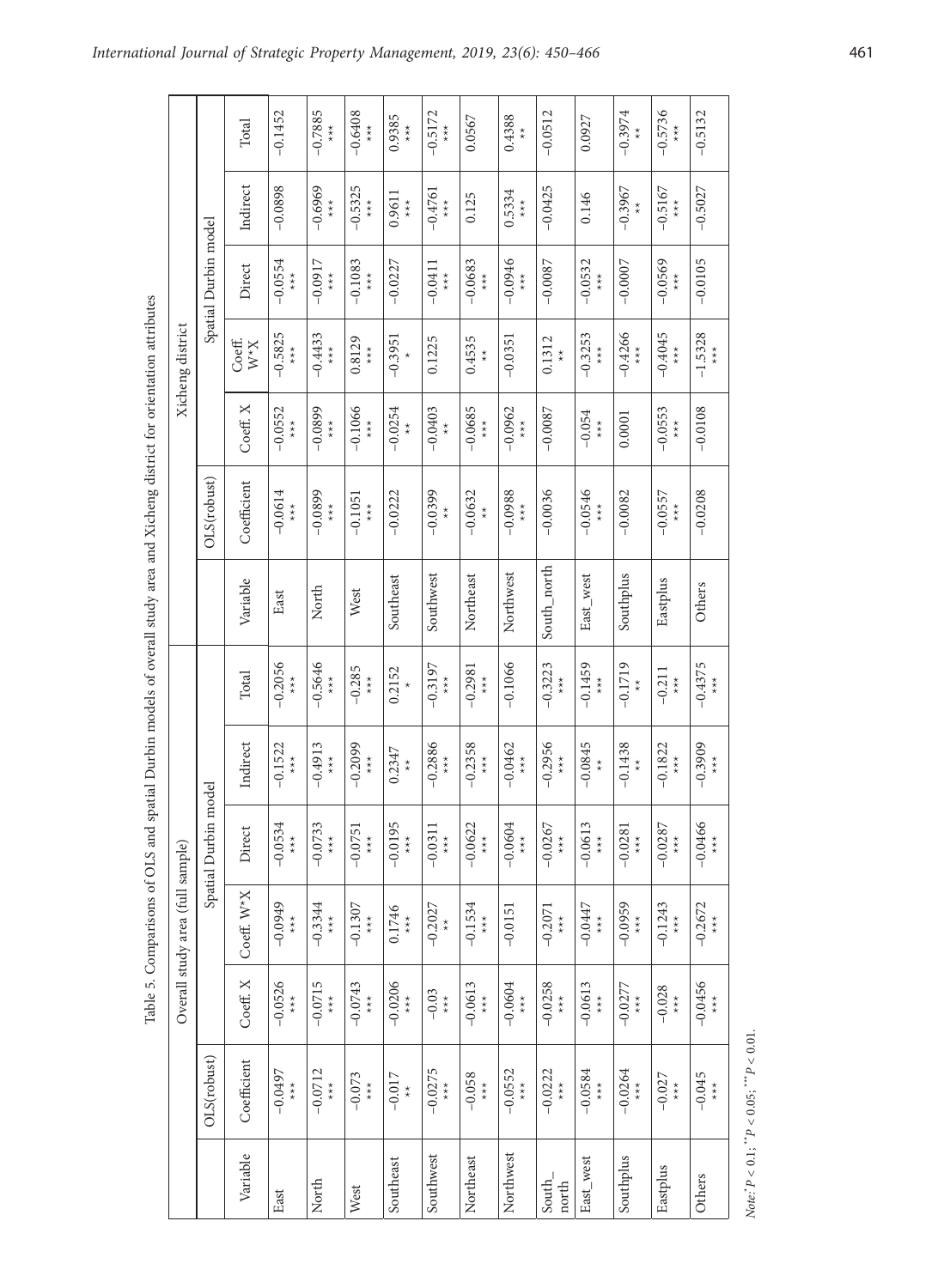| ã                               |
|---------------------------------|
| i                               |
|                                 |
|                                 |
|                                 |
|                                 |
|                                 |
|                                 |
|                                 |
|                                 |
|                                 |
|                                 |
| l                               |
|                                 |
| $\frac{1}{2}$                   |
|                                 |
| <b>Contract of the Contract</b> |
|                                 |
|                                 |
|                                 |
| į                               |
|                                 |
|                                 |
|                                 |
| .<br>7<br>i                     |
|                                 |
|                                 |
| خ<br>م                          |
|                                 |
|                                 |
| .<br>.<br>.                     |
|                                 |
|                                 |
|                                 |
|                                 |
|                                 |
|                                 |
| $\frac{1}{2}$                   |
|                                 |
|                                 |
|                                 |
|                                 |
|                                 |
|                                 |
|                                 |
| in the star                     |
|                                 |
|                                 |
|                                 |
| ļ<br>Ì                          |
|                                 |
|                                 |
|                                 |
|                                 |
|                                 |
|                                 |
|                                 |
|                                 |
| $\frac{1}{2}$                   |
|                                 |
|                                 |
|                                 |
|                                 |
|                                 |
|                                 |
|                                 |
| i                               |
|                                 |
|                                 |
| Ç                               |
| ı                               |
|                                 |
|                                 |
| ś                               |
| Fal                             |
|                                 |

|                 |                                                 |                                                                    | Table 5. Comparisons of OLS and        |                         |                                        |                                                     | spatial Durbin models of overall study area and Xicheng district for orientation attributes |                                        |                                                          |                                                          |                                        |                                                          |                                                          |
|-----------------|-------------------------------------------------|--------------------------------------------------------------------|----------------------------------------|-------------------------|----------------------------------------|-----------------------------------------------------|---------------------------------------------------------------------------------------------|----------------------------------------|----------------------------------------------------------|----------------------------------------------------------|----------------------------------------|----------------------------------------------------------|----------------------------------------------------------|
|                 |                                                 |                                                                    | Overall study area (full sample)       |                         |                                        |                                                     |                                                                                             |                                        |                                                          | Xicheng district                                         |                                        |                                                          |                                                          |
|                 | OLS(robust)                                     |                                                                    |                                        | Spatial Durbin          | model                                  |                                                     |                                                                                             | OLS(robust)                            |                                                          |                                                          | Spatial Durbin model                   |                                                          |                                                          |
| Variable        | Coefficient                                     | Coeff. X                                                           | Coeff. W <sup>*</sup> X                | Direct                  | Indirect                               | Total                                               | Variable                                                                                    | Coefficient                            | Coeff. X                                                 | Coeff.<br>$X^*M$                                         | Direct                                 | Indirect                                                 | Total                                                    |
| East            | $-0.0497$<br>$*_{*}$                            | $-0.0526$<br>$*_{*}$                                               | $-0.0949$<br>$*$<br>$*$                | $-0.0534$<br>$*$<br>$*$ | $-0.1522$<br>$*_{*}$                   | $-0.2056$<br>$*$<br>$*$                             | East                                                                                        | $-0.0614$<br>$*$<br>$*$                | $-0.0552$<br>$*_{*}$                                     | $-0.5825$<br>$*_{*}$                                     | $-0.0554$<br>$*_{*}$                   | $-0.0898$                                                | $-0.1452$                                                |
| North           | $-0.0712$<br>$*_{*}$                            | $-0.0715$<br>$*_{*}$                                               | $-0.3344$<br>$*_{*}$                   | $-0.0733$<br>$*_{*}$    | $-0.4913$<br>$*_{*}$                   | $-0.5646$<br>$*_{*}$                                | North                                                                                       | $-0.0899$<br>$\star\star$              | $-0.0899$<br>$*_{*}$                                     | $-0.4433$<br>$*_{*}$                                     | $-0.0917$<br>$*_{*}$                   | $-0.6969$<br>$\stackrel{\star}{\underset{\star}{}}$      | $-0.7885$<br>$*_{*}$                                     |
| West            | $-0.073$<br>$*_{*}$                             | $-0.0743$<br>$*$<br>$*$                                            | $-0.1307$<br>$*_{*}$                   | $-0.0751$<br>$*_{*}$    | $-0.2099$<br>$\underset{\star}{\star}$ | $-0.285$                                            | West                                                                                        | $-0.1051$<br>$\underset{\star}{\star}$ | $-0.1066$<br>$\underset{\star}{\star}$                   | 0.8129<br>$\stackrel{\star}{\star}$                      | $-0.1083$<br>$*_{*}$                   | $-0.5325$<br>$\stackrel{\star}{\underset{\star}{\star}}$ | $-0.6408$<br>$\stackrel{\star}{\underset{\star}{\star}}$ |
| Southeast       | $-0.017$<br>$\star$                             | $-0.0206$<br>$\underset{\star}{\star}$                             | 0.1746<br>$*_{*}$                      | $-0.0195$<br>$*_{*}$    | 0.2347<br>$\stackrel{\star}{\star}$    | 0.2152                                              | Southeast                                                                                   | $-0.0222$                              | $-0.0254$<br>$_{\star}^{\star}$                          | $-0.3951$                                                | $-0.0227$                              | 0.9611<br>$\star\star$                                   | 0.9385<br>$\underset{\star}{\star}$                      |
| Southwest       | $-0.0275$<br>$\star\star\star$                  | $-0.03$<br>$\underset{\star}{\star}$                               | $-0.2027$<br>$\stackrel{\star}{\star}$ | $-0.031$<br>$*_{*}$     | $-0.2886$<br>$*_{*}$                   | $-0.3197$<br>$\stackrel{\star}{\underset{\star}{}}$ | Southwest                                                                                   | $-0.0399$<br>$\stackrel{\star}{\star}$ | $-0.0403$<br>$\stackrel{\star}{\star}$                   | 0.1225                                                   | $-0.0411$<br>$*_{*}$                   | $-0.4761$<br>$*_{*}$                                     | $-0.5172$<br>***                                         |
| Northeast       | $-0.058$<br>$*$<br>$*$                          | $-0.0613$<br>$\underset{\star}{\star}$                             | $-0.1534$<br>$*_{*}$                   | $-0.0622$<br>$*_{*}$    | $-0.2358$<br>$\star\star\star$         | $-0.2981$<br>$*_{*}$                                | Northeast                                                                                   | $-0.0632$<br>$\stackrel{\star}{\star}$ | $-0.0685$<br>$\stackrel{\star}{\underset{\star}{\star}}$ | 0.4535<br>$\stackrel{\star}{\star}$                      | $-0.0683$<br>$\underset{\star}{\star}$ | 0.125                                                    | 0.0567                                                   |
| Northwest       | $-0.0552$<br>$\stackrel{\star}{\star}$          | $-0.0604$<br>$*_{*}$                                               | $-0.0151$                              | $-0.0604$<br>$*_{*}$    | $-0.0462$<br>$*_{**}$                  | $-0.1066$                                           | Northwest                                                                                   | $-0.0988$<br>$*_{*}$                   | $-0.0962$<br>$*_{*}$                                     | $-0.0351$                                                | $-0.0946$<br>$*_{*}$                   | 0.5334<br>$*_{*}$                                        | 0.4388<br>$\star$                                        |
| South_<br>north | $-0.0222$<br>$\stackrel{\star}{\star}$          | $-0.0258$<br>$\star\star$                                          | $-0.2071$<br>$\star\star$              | $-0.0267$<br>$*_{*}$    | $-0.2956$<br>$\star\star\star$         | $-0.3223$<br>$\star\star$                           | South_north                                                                                 | $-0.0036$                              | $-0.0087$                                                | 0.1312<br>$\stackrel{\star}{\star}$                      | $-0.0087$                              | $-0.0425$                                                | $-0.0512$                                                |
| East_west       | $-0.0584$<br>$\underset{\star}{\star}$          | $-0.0613$<br>$\stackrel{\star}{\star}{}_{\stackrel{\star}{\star}}$ | $-0.0447$<br>$*$<br>$*$                | $-0.0613$<br>$*_{*}$    | $-0.0845$<br>$\star$                   | $-0.1459$<br>$*_{*}$                                | East_west                                                                                   | $-0.0546$<br>$*_{*}$                   | $-0.054$<br>$\underset{\star}{\star}$                    | $-0.3253$<br>$\stackrel{\star}{\underset{\star}{\star}}$ | $-0.0532$<br>$\underset{\star}{\star}$ | 0.146                                                    | 0.0927                                                   |
| Southplus       | $-0.0264$<br>$*_{*}$                            | $-0.0277$<br>$\underset{\star}{\star}$                             | $-0.0959$<br>$*_{**}$                  | $-0.0281$<br>$*_{*}$    | $-0.1438$<br>$\stackrel{\star}{\star}$ | $-0.1719$<br>$\stackrel{\star}{\star}$              | Southplus                                                                                   | $-0.0082$                              | 0.0001                                                   | $-0.4266$<br>$\underset{\star}{\star}$                   | $-0.0007$                              | $-0.3967$                                                | $-0.3974$<br>$\stackrel{\star}{\star}$                   |
| Eastplus        | $-0.027$<br>$*_{*}$                             | $-0.028$<br>$\underset{\star}{\star}$                              | $-0.1243$<br>$*_{*}$                   | $-0.0287$<br>$*_{*}$    | $-0.1822$<br>$\star\star\star$         | $-0.211$<br>$\star\star\star$                       | Eastplus                                                                                    | $-0.0557$<br>$\star\star\star$         | $-0.0553$<br>$*_{*}$                                     | $-0.4045$<br>$*_{*}$                                     | $-0.0569$<br>$*$<br>$*$                | $-0.5167$<br>$\star\star$                                | $-0.5736$<br>$\underset{\star}{\star}$                   |
| Others          | $-0.045$<br>$*_{*}$                             | $-0.0456$<br>$\underset{\star}{\star}$                             | $-0.2672$<br>$\star\star\star$         | $-0.0466$<br>$*_{*}$    | $-0.3909$<br>$*_{*}$                   | $-0.4375$<br>$*_{*}$                                | Others                                                                                      | $-0.0208$                              | $-0.0108$                                                | $-1.5328$<br>$*_{*}$                                     | $-0.0105$                              | $-0.5027$                                                | $-0.5132$                                                |
|                 | Note: $P < 0.1$ ; $P'P < 0.05$ ; $P'P < 0.01$ . |                                                                    |                                        |                         |                                        |                                                     |                                                                                             |                                        |                                                          |                                                          |                                        |                                                          |                                                          |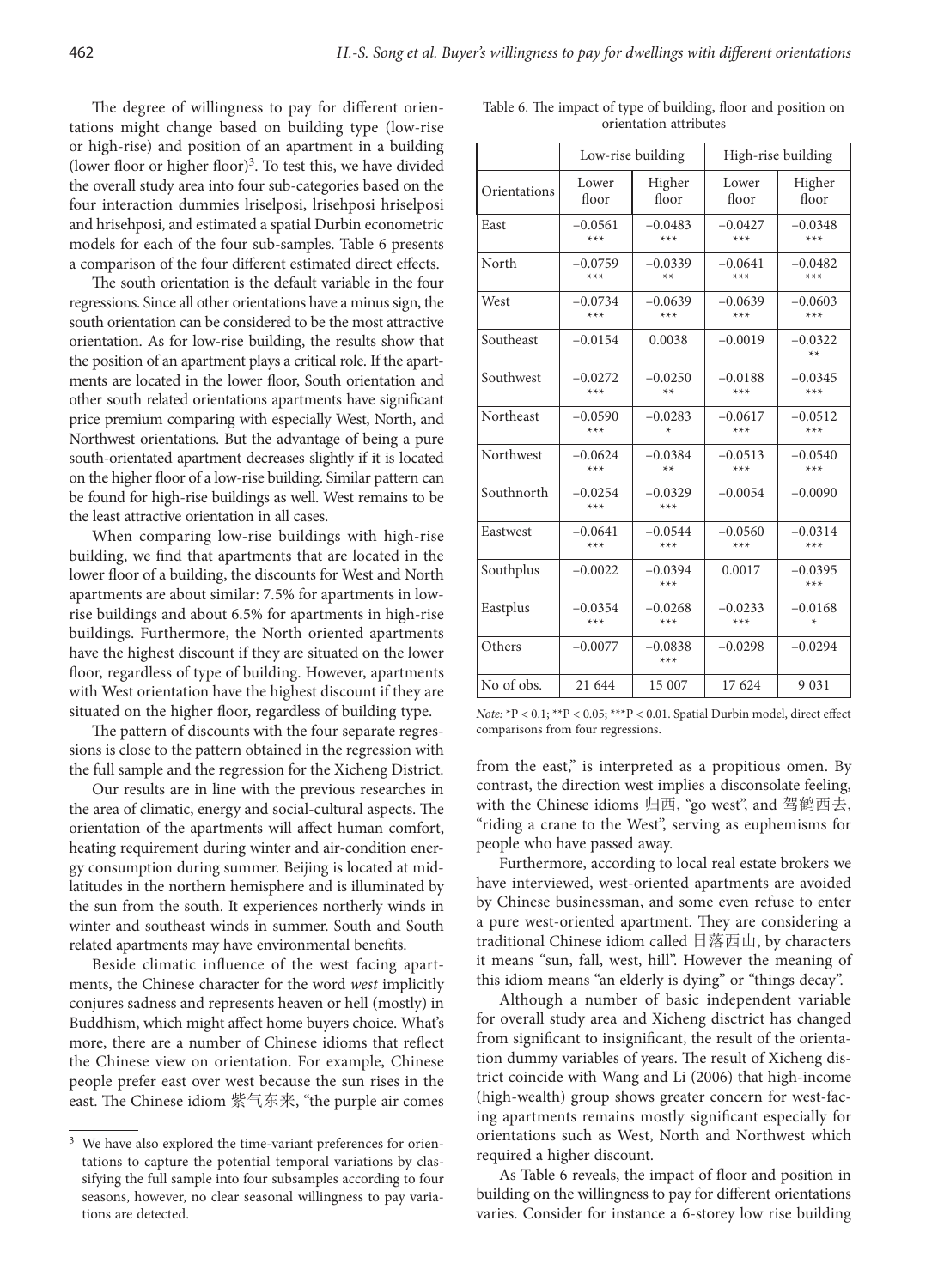The degree of willingness to pay for different orientations might change based on building type (low-rise or high-rise) and position of an apartment in a building (lower floor or higher floor)<sup>3</sup>. To test this, we have divided the overall study area into four sub-categories based on the four interaction dummies lriselposi, lrisehposi hriselposi and hrisehposi, and estimated a spatial Durbin econometric models for each of the four sub-samples. Table 6 presents a comparison of the four different estimated direct effects.

The south orientation is the default variable in the four regressions. Since all other orientations have a minus sign, the south orientation can be considered to be the most attractive orientation. As for low-rise building, the results show that the position of an apartment plays a critical role. If the apartments are located in the lower floor, South orientation and other south related orientations apartments have significant price premium comparing with especially West, North, and Northwest orientations. But the advantage of being a pure south-orientated apartment decreases slightly if it is located on the higher floor of a low-rise building. Similar pattern can be found for high-rise buildings as well. West remains to be the least attractive orientation in all cases.

When comparing low-rise buildings with high-rise building, we find that apartments that are located in the lower floor of a building, the discounts for West and North apartments are about similar: 7.5% for apartments in lowrise buildings and about 6.5% for apartments in high-rise buildings. Furthermore, the North oriented apartments have the highest discount if they are situated on the lower floor, regardless of type of building. However, apartments with West orientation have the highest discount if they are situated on the higher floor, regardless of building type.

The pattern of discounts with the four separate regressions is close to the pattern obtained in the regression with the full sample and the regression for the Xicheng District.

Our results are in line with the previous researches in the area of climatic, energy and social-cultural aspects. The orientation of the apartments will affect human comfort, heating requirement during winter and air-condition energy consumption during summer. Beijing is located at midlatitudes in the northern hemisphere and is illuminated by the sun from the south. It experiences northerly winds in winter and southeast winds in summer. South and South related apartments may have environmental benefits.

Beside climatic influence of the west facing apartments, the Chinese character for the word *west* implicitly conjures sadness and represents heaven or hell (mostly) in Buddhism, which might affect home buyers choice. What's more, there are a number of Chinese idioms that reflect the Chinese view on orientation. For example, Chinese people prefer east over west because the sun rises in the east. The Chinese idiom 紫气东来, "the purple air comes

| Table 6. The impact of type of building, floor and position on |
|----------------------------------------------------------------|
| orientation attributes                                         |
|                                                                |

|              |                    | Low-rise building  | High-rise building |                    |  |
|--------------|--------------------|--------------------|--------------------|--------------------|--|
| Orientations | Lower              | Higher             | Lower              | Higher             |  |
|              | floor              | floor              | floor              | floor              |  |
| East         | $-0.0561$          | $-0.0483$          | $-0.0427$          | $-0.0348$          |  |
|              | $***$              | $***$              | $***$              | $***$              |  |
| North        | $-0.0759$          | $-0.0339$          | $-0.0641$          | $-0.0482$          |  |
|              | $***$              | $**$               | $***$              | $***$              |  |
| West         | $-0.0734$          | $-0.0639$          | $-0.0639$          | $-0.0603$          |  |
|              | $***$              | $***$              | $***$              | $***$              |  |
| Southeast    | $-0.0154$          | 0.0038             | $-0.0019$          | $-0.0322$<br>$**$  |  |
| Southwest    | $-0.0272$          | $-0.0250$          | $-0.0188$          | $-0.0345$          |  |
|              | $***$              | $**$               | $***$              | $***$              |  |
| Northeast    | $-0.0590$          | $-0.0283$          | $-0.0617$          | $-0.0512$          |  |
|              | $***$              | $\star$            | $***$              | $***$              |  |
| Northwest    | $-0.0624$          | $-0.0384$          | $-0.0513$          | $-0.0540$          |  |
|              | $***$              | $**$               | $***$              | $***$              |  |
| Southnorth   | $-0.0254$<br>$***$ | $-0.0329$<br>$***$ | $-0.0054$          | $-0.0090$          |  |
| Eastwest     | $-0.0641$          | $-0.0544$          | $-0.0560$          | $-0.0314$          |  |
|              | $***$              | $***$              | $***$              | $***$              |  |
| Southplus    | $-0.0022$          | $-0.0394$<br>$***$ | 0.0017             | $-0.0395$<br>$***$ |  |
| Eastplus     | $-0.0354$          | $-0.0268$          | $-0.0233$          | $-0.0168$          |  |
|              | $***$              | $***$              | $***$              | ×                  |  |
| Others       | $-0.0077$          | $-0.0838$<br>$***$ | $-0.0298$          | $-0.0294$          |  |
| No of obs.   | 21 644             | 15 007             | 17 624             | 9 0 3 1            |  |

*Note:* \*P < 0.1; \*\*P < 0.05; \*\*\*P < 0.01. Spatial Durbin model, direct effect comparisons from four regressions.

from the east," is interpreted as a propitious omen. By contrast, the direction west implies a disconsolate feeling, with the Chinese idioms 归西, "go west", and 驾鹤西去, "riding a crane to the West", serving as euphemisms for people who have passed away.

Furthermore, according to local real estate brokers we have interviewed, west-oriented apartments are avoided by Chinese businessman, and some even refuse to enter a pure west-oriented apartment. They are considering a traditional Chinese idiom called 日落西山, by characters it means "sun, fall, west, hill". However the meaning of this idiom means "an elderly is dying" or "things decay".

Although a number of basic independent variable for overall study area and Xicheng disctrict has changed from significant to insignificant, the result of the orientation dummy variables of years. The result of Xicheng district coincide with Wang and Li (2006) that high-income (high-wealth) group shows greater concern for west-facing apartments remains mostly significant especially for orientations such as West, North and Northwest which required a higher discount.

As Table 6 reveals, the impact of floor and position in building on the willingness to pay for different orientations varies. Consider for instance a 6-storey low rise building

<sup>&</sup>lt;sup>3</sup> We have also explored the time-variant preferences for orientations to capture the potential temporal variations by classifying the full sample into four subsamples according to four seasons, however, no clear seasonal willingness to pay variations are detected.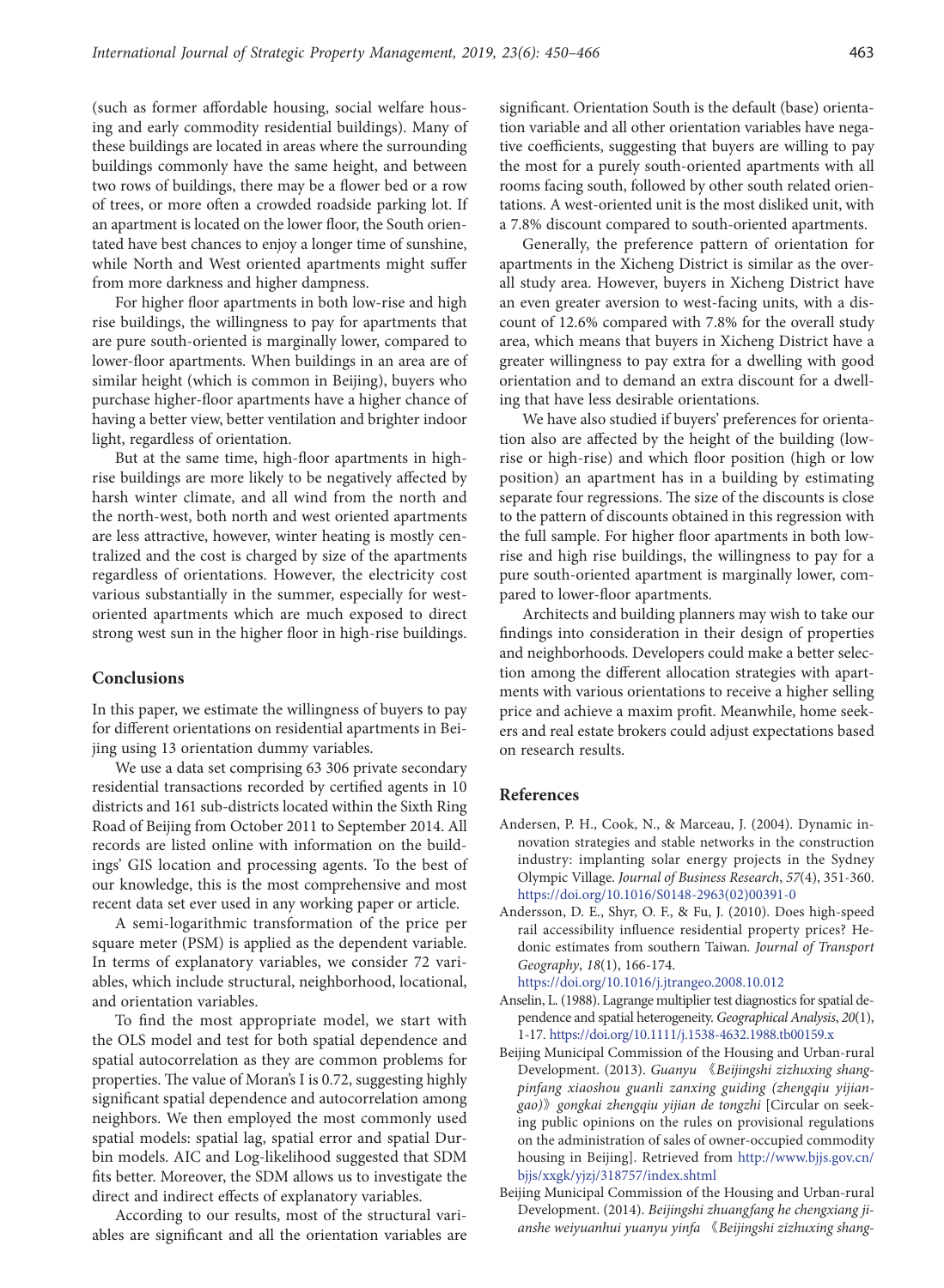(such as former affordable housing, social welfare housing and early commodity residential buildings). Many of these buildings are located in areas where the surrounding buildings commonly have the same height, and between two rows of buildings, there may be a flower bed or a row of trees, or more often a crowded roadside parking lot. If an apartment is located on the lower floor, the South orientated have best chances to enjoy a longer time of sunshine, while North and West oriented apartments might suffer from more darkness and higher dampness.

For higher floor apartments in both low-rise and high rise buildings, the willingness to pay for apartments that are pure south-oriented is marginally lower, compared to lower-floor apartments. When buildings in an area are of similar height (which is common in Beijing), buyers who purchase higher-floor apartments have a higher chance of having a better view, better ventilation and brighter indoor light, regardless of orientation.

But at the same time, high-floor apartments in highrise buildings are more likely to be negatively affected by harsh winter climate, and all wind from the north and the north-west, both north and west oriented apartments are less attractive, however, winter heating is mostly centralized and the cost is charged by size of the apartments regardless of orientations. However, the electricity cost various substantially in the summer, especially for westoriented apartments which are much exposed to direct strong west sun in the higher floor in high-rise buildings.

#### **Conclusions**

In this paper, we estimate the willingness of buyers to pay for different orientations on residential apartments in Beijing using 13 orientation dummy variables.

We use a data set comprising 63 306 private secondary residential transactions recorded by certified agents in 10 districts and 161 sub-districts located within the Sixth Ring Road of Beijing from October 2011 to September 2014. All records are listed online with information on the buildings' GIS location and processing agents. To the best of our knowledge, this is the most comprehensive and most recent data set ever used in any working paper or article.

A semi-logarithmic transformation of the price per square meter (PSM) is applied as the dependent variable. In terms of explanatory variables, we consider 72 variables, which include structural, neighborhood, locational, and orientation variables.

To find the most appropriate model, we start with the OLS model and test for both spatial dependence and spatial autocorrelation as they are common problems for properties. The value of Moran's I is 0.72, suggesting highly significant spatial dependence and autocorrelation among neighbors. We then employed the most commonly used spatial models: spatial lag, spatial error and spatial Durbin models. AIC and Log-likelihood suggested that SDM fits better. Moreover, the SDM allows us to investigate the direct and indirect effects of explanatory variables.

According to our results, most of the structural variables are significant and all the orientation variables are significant. Orientation South is the default (base) orientation variable and all other orientation variables have negative coefficients, suggesting that buyers are willing to pay the most for a purely south-oriented apartments with all rooms facing south, followed by other south related orientations. A west-oriented unit is the most disliked unit, with a 7.8% discount compared to south-oriented apartments.

Generally, the preference pattern of orientation for apartments in the Xicheng District is similar as the overall study area. However, buyers in Xicheng District have an even greater aversion to west-facing units, with a discount of 12.6% compared with 7.8% for the overall study area, which means that buyers in Xicheng District have a greater willingness to pay extra for a dwelling with good orientation and to demand an extra discount for a dwelling that have less desirable orientations.

We have also studied if buyers' preferences for orientation also are affected by the height of the building (lowrise or high-rise) and which floor position (high or low position) an apartment has in a building by estimating separate four regressions. The size of the discounts is close to the pattern of discounts obtained in this regression with the full sample. For higher floor apartments in both lowrise and high rise buildings, the willingness to pay for a pure south-oriented apartment is marginally lower, compared to lower-floor apartments.

Architects and building planners may wish to take our findings into consideration in their design of properties and neighborhoods. Developers could make a better selection among the different allocation strategies with apartments with various orientations to receive a higher selling price and achieve a maxim profit. Meanwhile, home seekers and real estate brokers could adjust expectations based on research results.

#### **References**

- Andersen, P. H., Cook, N., & Marceau, J. (2004). Dynamic innovation strategies and stable networks in the construction industry: implanting solar energy projects in the Sydney Olympic Village. *Journal of Business Research*, *57*(4), 351-360. [https://doi.org/10.1016/S0148-2963\(02\)00391-0](https://doi.org/10.1016/S0148-2963(02)00391-0)
- Andersson, D. E., Shyr, O. F., & Fu, J. (2010). Does high-speed rail accessibility influence residential property prices? Hedonic estimates from southern Taiwan*. Journal of Transport Geography*, *18*(1), 166-174.

<https://doi.org/10.1016/j.jtrangeo.2008.10.012>

- Anselin, L. (1988). Lagrange multiplier test diagnostics for spatial dependence and spatial heterogeneity. *Geographical Analysis*, *20*(1), 1-17.<https://doi.org/10.1111/j.1538-4632.1988.tb00159.x>
- Beijing Municipal Commission of the Housing and Urban-rural Development. (2013). *Guanyu* 《*Beijingshi zizhuxing shangpinfang xiaoshou guanli zanxing guiding (zhengqiu yijiangao)*》*gongkai zhengqiu yijian de tongzhi* [Circular on seeking public opinions on the rules on provisional regulations on the administration of sales of owner-occupied commodity housing in Beijing]. Retrieved from [http://www.bjjs.gov.cn/](http://www.bjjs.gov.cn/bjjs/xxgk/yjzj/318757/index.shtml) [bjjs/xxgk/yjzj/318757/index.shtml](http://www.bjjs.gov.cn/bjjs/xxgk/yjzj/318757/index.shtml)
- Beijing Municipal Commission of the Housing and Urban-rural Development. (2014). *Beijingshi zhuangfang he chengxiang jianshe weiyuanhui yuanyu yinfa* 《*Beijingshi zizhuxing shang-*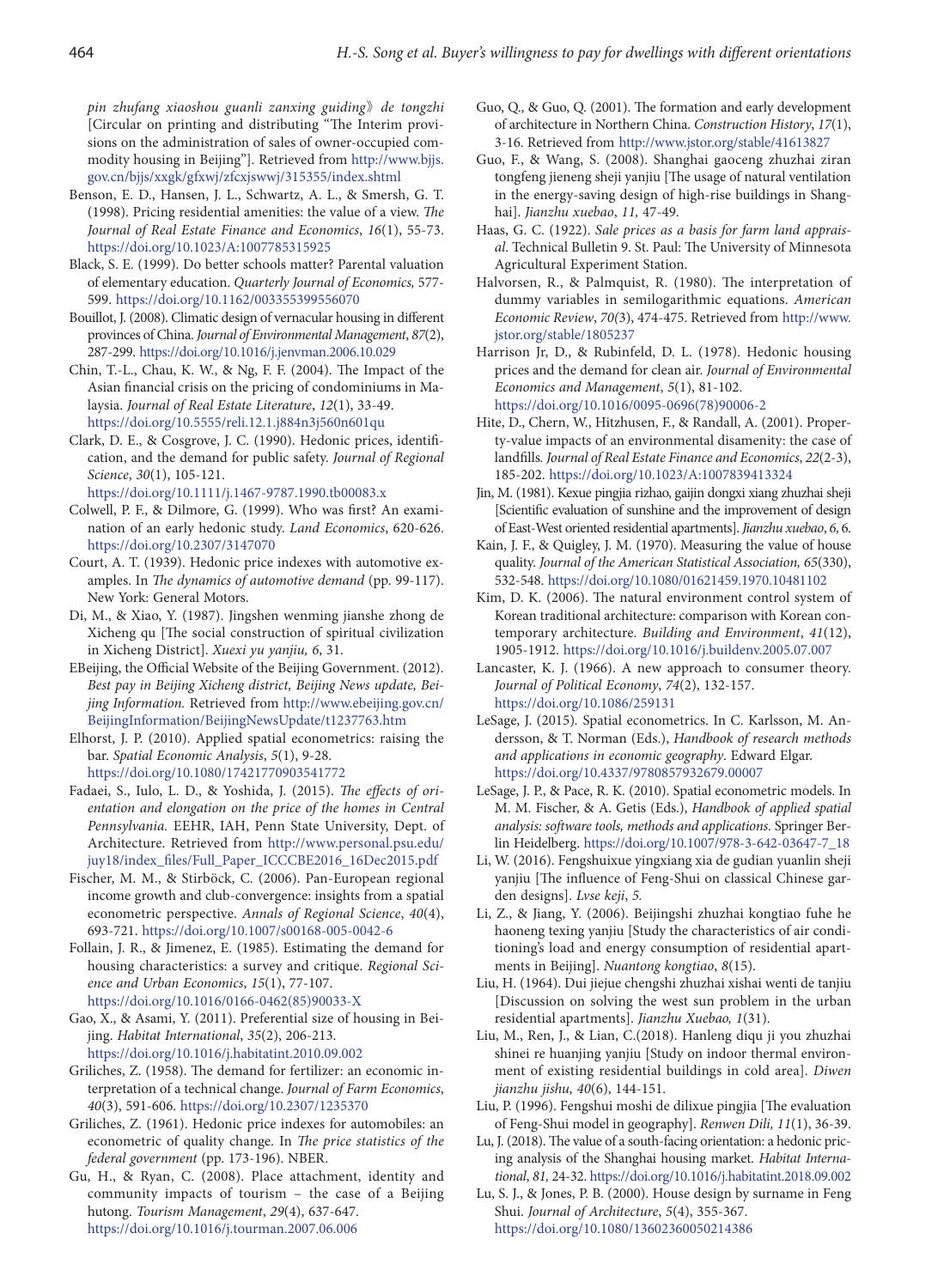*pin zhufang xiaoshou guanli zanxing guiding*》*de tongzhi* [Circular on printing and distributing "The Interim provisions on the administration of sales of owner-occupied commodity housing in Beijing"]. Retrieved from [http://www.bjjs.](http://www.bjjs.gov.cn/bjjs/xxgk/gfxwj/zfcxjswwj/315355/index.shtml) [gov.cn/bjjs/xxgk/gfxwj/zfcxjswwj/315355/index.shtml](http://www.bjjs.gov.cn/bjjs/xxgk/gfxwj/zfcxjswwj/315355/index.shtml)

- Benson, E. D., Hansen, J. L., Schwartz, A. L., & Smersh, G. T. (1998). Pricing residential amenities: the value of a view. *The Journal of Real Estate Finance and Economics*, *16*(1), 55-73. https://doi.org/10.1023/A:1007785315925
- Black, S. E. (1999). Do better schools matter? Parental valuation of elementary education. *Quarterly Journal of Economics,* 577- 599. <https://doi.org/10.1162/003355399556070>
- Bouillot, J. (2008). Climatic design of vernacular housing in different provinces of China. *Journal of Environmental Management*, *87*(2), 287-299. <https://doi.org/10.1016/j.jenvman.2006.10.029>
- Chin, T.-L., Chau, K. W., & Ng, F. F. (2004). The Impact of the Asian financial crisis on the pricing of condominiums in Malaysia. *Journal of Real Estate Literature*, *12*(1), 33-49. <https://doi.org/10.5555/reli.12.1.j884n3j560n601qu>
- Clark, D. E., & Cosgrove, J. C. (1990). Hedonic prices, identification, and the demand for public safety. *Journal of Regional Science*, *30*(1), 105-121.

<https://doi.org/10.1111/j.1467-9787.1990.tb00083.x>

- Colwell, P. F., & Dilmore, G. (1999). Who was first? An examination of an early hedonic study. *Land Economics*, 620-626. <https://doi.org/10.2307/3147070>
- Court, A. T. (1939). Hedonic price indexes with automotive examples. In *The dynamics of automotive demand* (pp. 99-117). New York: General Motors.
- Di, M., & Xiao, Y. (1987). Jingshen wenming jianshe zhong de Xicheng qu [The social construction of spiritual civilization in Xicheng District]. *Xuexi yu yanjiu, 6*, 31.
- EBeijing, the Official Website of the Beijing Government. (2012). *Best pay in Beijing Xicheng district, Beijing News update, Beijing Information.* Retrieved from [http://www.ebeijing.gov.cn/](http://www.ebeijing.gov.cn/BeijingInformation/BeijingNewsUpdate/t1237763.htm) [BeijingInformation/BeijingNewsUpdate/t1237763.htm](http://www.ebeijing.gov.cn/BeijingInformation/BeijingNewsUpdate/t1237763.htm)

Elhorst, J. P. (2010). Applied spatial econometrics: raising the bar. *Spatial Economic Analysis*, *5*(1), 9-28. <https://doi.org/10.1080/17421770903541772>

- Fadaei, S., Iulo, L. D., & Yoshida, J. (2015). *The effects of orientation and elongation on the price of the homes in Central Pennsylvania.* EEHR, IAH, Penn State University, Dept. of Architecture. Retrieved from [http://www.personal.psu.edu/](http://www.personal.psu.edu/juy18/index_files/Full_Paper_ICCCBE2016_16Dec2015.pdf) [juy18/index\\_files/Full\\_Paper\\_ICCCBE2016\\_16Dec2015.pdf](http://www.personal.psu.edu/juy18/index_files/Full_Paper_ICCCBE2016_16Dec2015.pdf)
- Fischer, M. M., & Stirböck, C. (2006). Pan-European regional income growth and club-convergence: insights from a spatial econometric perspective. *Annals of Regional Science*, *40*(4), 693-721. https://doi.org/10.1007/s00168-005-0042-6
- Follain, J. R., & Jimenez, E. (1985). Estimating the demand for housing characteristics: a survey and critique. *Regional Science and Urban Economics*, *15*(1), 77-107. [https://doi.org/10.1016/0166-0462\(85\)90033-X](https://doi.org/10.1016/0166-0462(85)90033-X)

Gao, X., & Asami, Y. (2011). Preferential size of housing in Beijing. *Habitat International*, *35*(2), 206-213. <https://doi.org/10.1016/j.habitatint.2010.09.002>

- Griliches, Z. (1958). The demand for fertilizer: an economic interpretation of a technical change. *Journal of Farm Economics*, *40*(3), 591-606. <https://doi.org/10.2307/1235370>
- Griliches, Z. (1961). Hedonic price indexes for automobiles: an econometric of quality change. In *The price statistics of the federal government* (pp. 173-196). NBER.
- Gu, H., & Ryan, C. (2008). Place attachment, identity and community impacts of tourism – the case of a Beijing hutong. *Tourism Management*, *29*(4), 637-647. <https://doi.org/10.1016/j.tourman.2007.06.006>
- Guo, Q., & Guo, Q. (2001). The formation and early development of architecture in Northern China. *Construction History*, *17*(1), 3-16. Retrieved from <http://www.jstor.org/stable/41613827>
- Guo, F., & Wang, S. (2008). Shanghai gaoceng zhuzhai ziran tongfeng jieneng sheji yanjiu [The usage of natural ventilation in the energy-saving design of high-rise buildings in Shanghai]. *Jianzhu xuebao*, *11,* 47-49.
- Haas, G. C. (1922). *Sale prices as a basis for farm land appraisal*. Technical Bulletin 9. St. Paul: The University of Minnesota Agricultural Experiment Station.
- Halvorsen, R., & Palmquist, R. (1980). The interpretation of dummy variables in semilogarithmic equations. *American Economic Review*, *70(*3), 474-475. Retrieved from http://www. jstor.org/stable/1805237
- Harrison Jr, D., & Rubinfeld, D. L. (1978). Hedonic housing prices and the demand for clean air. *Journal of Environmental Economics and Management*, *5*(1), 81-102. [https://doi.org/10.1016/0095-0696\(78\)90006-2](https://doi.org/10.1016/0095-0696(78)90006-2)
- Hite, D., Chern, W., Hitzhusen, F., & Randall, A. (2001). Property-value impacts of an environmental disamenity: the case of landfills*. Journal of Real Estate Finance and Economics*, *22*(2-3), 185-202. <https://doi.org/10.1023/A:1007839413324>
- Jin, M. (1981). Kexue pingjia rizhao, gaijin dongxi xiang zhuzhai sheji [Scientific evaluation of sunshine and the improvement of design of East-West oriented residential apartments]. *Jianzhu xuebao*, *6*, 6.
- Kain, J. F., & Quigley, J. M. (1970). Measuring the value of house quality. *Journal of the American Statistical Association, 65*(330), 532-548. https://doi.org/10.1080/01621459.1970.10481102
- Kim, D. K. (2006). The natural environment control system of Korean traditional architecture: comparison with Korean contemporary architecture. *Building and Environment*, *41*(12), 1905-1912. <https://doi.org/10.1016/j.buildenv.2005.07.007>
- Lancaster, K. J. (1966). A new approach to consumer theory. *Journal of Political Economy*, *74*(2), 132-157. <https://doi.org/10.1086/259131>
- LeSage, J. (2015)*.* Spatial econometrics. In C. Karlsson, M. Andersson, & T. Norman (Eds.), *Handbook of research methods and applications in economic geography*. Edward Elgar. <https://doi.org/10.4337/9780857932679.00007>
- LeSage, J. P., & Pace, R. K. (2010). Spatial econometric models. In M. M. Fischer, & A. Getis (Eds.), *Handbook of applied spatial analysis: software tools, methods and applications.* Springer Berlin Heidelberg. [https://doi.org/10.1007/978-3-642-03647-7\\_18](https://doi.org/10.1007/978-3-642-03647-7_18)
- Li, W. (2016). Fengshuixue yingxiang xia de gudian yuanlin sheji yanjiu [The influence of Feng-Shui on classical Chinese garden designs]. *Lvse keji*, *5.*
- Li, Z., & Jiang, Y. (2006). Beijingshi zhuzhai kongtiao fuhe he haoneng texing yanjiu [Study the characteristics of air conditioning's load and energy consumption of residential apartments in Beijing]. *Nuantong kongtiao*, *8*(15).
- Liu, H. (1964). Dui jiejue chengshi zhuzhai xishai wenti de tanjiu [Discussion on solving the west sun problem in the urban residential apartments]. *Jianzhu Xuebao, 1*(31).
- Liu, M., Ren, J., & Lian, C.(2018). Hanleng diqu ji you zhuzhai shinei re huanjing yanjiu [Study on indoor thermal environment of existing residential buildings in cold area]. *Diwen jianzhu jishu, 40*(6), 144-151.
- Liu, P. (1996). Fengshui moshi de dilixue pingjia [The evaluation of Feng-Shui model in geography]. *Renwen Dili, 11*(1), 36-39.
- Lu, J. (2018). The value of a south-facing orientation: a hedonic pricing analysis of the Shanghai housing market. *Habitat International*, *81,* 24-32.<https://doi.org/10.1016/j.habitatint.2018.09.002>
- Lu, S. J., & Jones, P. B. (2000). House design by surname in Feng Shui. *Journal of Architecture*, *5*(4), 355-367. <https://doi.org/10.1080/13602360050214386>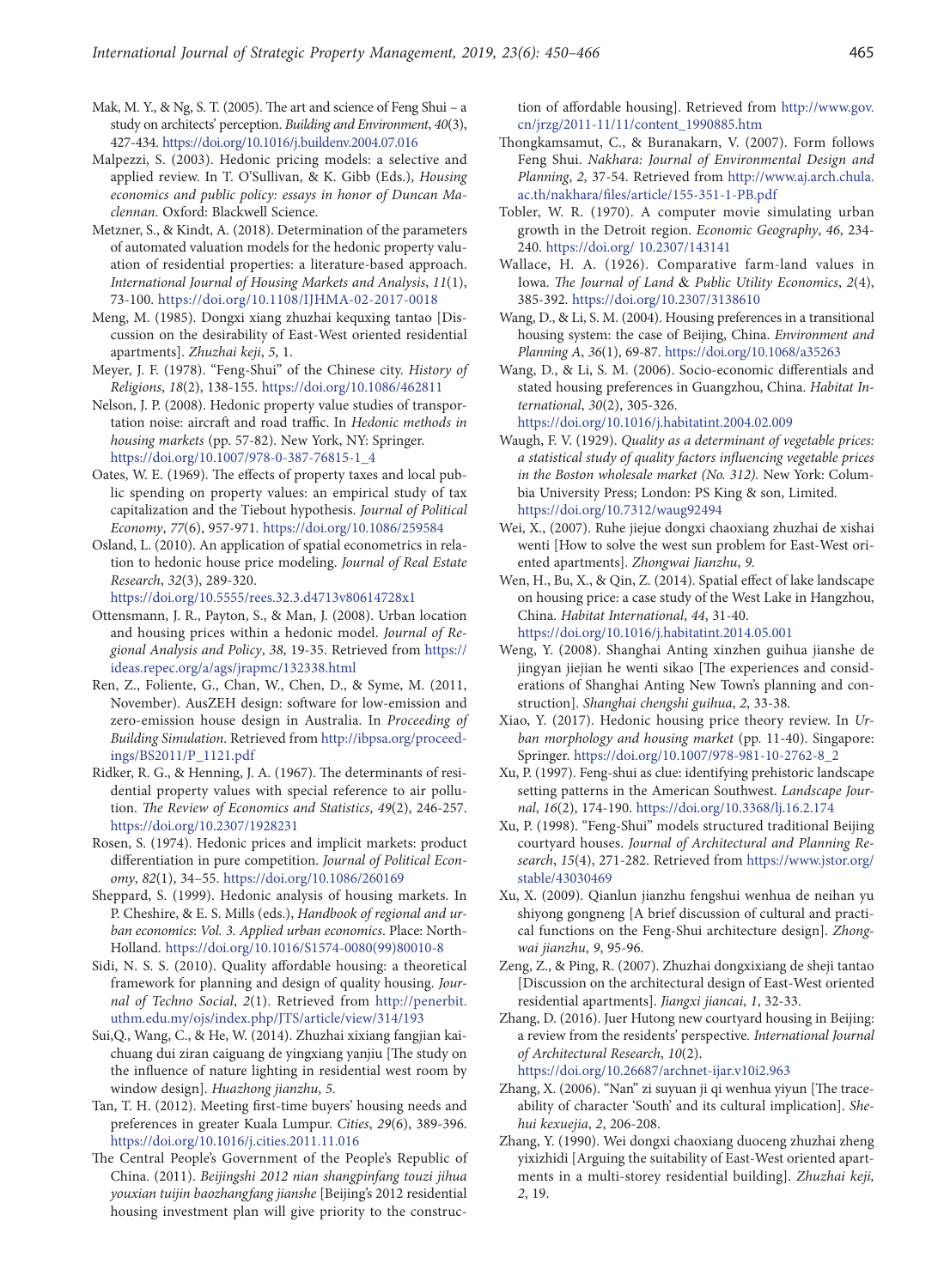- Mak, M. Y., & Ng, S. T. (2005). The art and science of Feng Shui a study on architects' perception. *Building and Environment*, *40*(3), 427-434. <https://doi.org/10.1016/j.buildenv.2004.07.016>
- Malpezzi, S. (2003). Hedonic pricing models: a selective and applied review. In T. O'Sullivan, & K. Gibb (Eds.), *Housing economics and public policy: essays in honor of Duncan Maclennan*. Oxford: Blackwell Science.
- Metzner, S., & Kindt, A. (2018). Determination of the parameters of automated valuation models for the hedonic property valuation of residential properties: a literature-based approach. *International Journal of Housing Markets and Analysis*, *11*(1), 73-100. <https://doi.org/10.1108/IJHMA-02-2017-0018>
- Meng, M. (1985). Dongxi xiang zhuzhai kequxing tantao [Discussion on the desirability of East-West oriented residential apartments]. *Zhuzhai keji*, *5*, 1.
- Meyer, J. F. (1978). "Feng-Shui" of the Chinese city. *History of Religions*, *18*(2), 138-155. <https://doi.org/10.1086/462811>
- Nelson, J. P. (2008). Hedonic property value studies of transportation noise: aircraft and road traffic. In *Hedonic methods in housing markets* (pp. 57-82). New York, NY: Springer. [https://doi.org/10.1007/978-0-387-76815-1\\_4](https://doi.org/10.1007/978-0-387-76815-1_4)
- Oates, W. E. (1969). The effects of property taxes and local public spending on property values: an empirical study of tax capitalization and the Tiebout hypothesis. *Journal of Political Economy*, *77*(6), 957-971. <https://doi.org/10.1086/259584>
- Osland, L. (2010). An application of spatial econometrics in relation to hedonic house price modeling. *Journal of Real Estate Research*, *32*(3), 289-320.
	- <https://doi.org/10.5555/rees.32.3.d4713v80614728x1>
- Ottensmann, J. R., Payton, S., & Man, J. (2008). Urban location and housing prices within a hedonic model. *Journal of Regional Analysis and Policy*, *38*, 19-35. Retrieved from [https://](https://ideas.repec.org/a/ags/jrapmc/132338.html) [ideas.repec.org/a/ags/jrapmc/132338.html](https://ideas.repec.org/a/ags/jrapmc/132338.html)
- Ren, Z., Foliente, G., Chan, W., Chen, D., & Syme, M. (2011, November). AusZEH design: software for low-emission and zero-emission house design in Australia. In *Proceeding of Building Simulation*. Retrieved from [http://ibpsa.org/proceed](http://ibpsa.org/proceedings/BS2011/P_1121.pdf)[ings/BS2011/P\\_1121.pdf](http://ibpsa.org/proceedings/BS2011/P_1121.pdf)
- Ridker, R. G., & Henning, J. A. (1967). The determinants of residential property values with special reference to air pollution. *The Review of Economics and Statistics*, *49*(2), 246-257. <https://doi.org/10.2307/1928231>
- Rosen, S. (1974). Hedonic prices and implicit markets: product differentiation in pure competition. *Journal of Political Economy*, *82*(1), 34–55. <https://doi.org/10.1086/260169>
- Sheppard, S. (1999). Hedonic analysis of housing markets. In P. Cheshire, & E. S. Mills (eds.), *Handbook of regional and urban economics*: *Vol. 3. Applied urban economics*. Place: North-Holland. [https://doi.org/10.1016/S1574-0080\(99\)80010-8](https://doi.org/10.1016/S1574-0080(99)80010-8)
- Sidi, N. S. S. (2010). Quality affordable housing: a theoretical framework for planning and design of quality housing. *Journal of Techno Social*, *2*(1). Retrieved from [http://penerbit.](http://penerbit.uthm.edu.my/ojs/index.php/JTS/article/view/314/193) [uthm.edu.my/ojs/index.php/JTS/article/view/314/193](http://penerbit.uthm.edu.my/ojs/index.php/JTS/article/view/314/193)
- Sui,Q., Wang, C., & He, W. (2014). Zhuzhai xixiang fangjian kaichuang dui ziran caiguang de yingxiang yanjiu [The study on the influence of nature lighting in residential west room by window design]. *Huazhong jianzhu*, *5.*
- Tan, T. H. (2012). Meeting first-time buyers' housing needs and preferences in greater Kuala Lumpur. *Cities*, *29*(6), 389-396. <https://doi.org/10.1016/j.cities.2011.11.016>
- The Central People's Government of the People's Republic of China. (2011). *Beijingshi 2012 nian shangpinfang touzi jihua youxian tuijin baozhangfang jianshe* [Beijing's 2012 residential housing investment plan will give priority to the construc-

tion of affordable housing]. Retrieved from [http://www.gov.](http://www.gov.cn/jrzg/2011-11/11/content_1990885.htm) [cn/jrzg/2011-11/11/content\\_1990885.htm](http://www.gov.cn/jrzg/2011-11/11/content_1990885.htm)

- Thongkamsamut, C., & Buranakarn, V. (2007). Form follows Feng Shui. *Nakhara: Journal of Environmental Design and Planning*, *2*, 37-54. Retrieved from [http://www.aj.arch.chula.](http://www.aj.arch.chula.ac.th/nakhara/files/article/155-351-1-PB.pdf) [ac.th/nakhara/files/article/155-351-1-PB.pdf](http://www.aj.arch.chula.ac.th/nakhara/files/article/155-351-1-PB.pdf)
- Tobler, W. R. (1970). A computer movie simulating urban growth in the Detroit region. *Economic Geography*, *46*, 234- 240. https://doi.org/ [10.2307/143141](https://doi.org/10.2307/143141)
- Wallace, H. A. (1926). Comparative farm-land values in Iowa. *The Journal of Land* & *Public Utility Economics*, *2*(4), 385-392. <https://doi.org/10.2307/3138610>
- Wang, D., & Li, S. M. (2004). Housing preferences in a transitional housing system: the case of Beijing, China. *Environment and Planning A*, *36*(1), 69-87. [https://doi.org/10.1068/a35263](https://doi.org/10.1068%2Fa35263)
- Wang, D., & Li, S. M. (2006). Socio-economic differentials and stated housing preferences in Guangzhou, China. *Habitat International*, *30*(2), 305-326.

<https://doi.org/10.1016/j.habitatint.2004.02.009>

- Waugh, F. V. (1929). *Quality as a determinant of vegetable prices: a statistical study of quality factors influencing vegetable prices in the Boston wholesale market (No. 312).* New York: Columbia University Press; London: PS King & son, Limited*.*  <https://doi.org/10.7312/waug92494>
- Wei, X., (2007). Ruhe jiejue dongxi chaoxiang zhuzhai de xishai wenti [How to solve the west sun problem for East-West oriented apartments]. *Zhongwai Jianzhu*, *9.*
- Wen, H., Bu, X., & Qin, Z. (2014). Spatial effect of lake landscape on housing price: a case study of the West Lake in Hangzhou, China. *Habitat International*, *44*, 31-40. <https://doi.org/10.1016/j.habitatint.2014.05.001>
- Weng, Y. (2008). Shanghai Anting xinzhen guihua jianshe de jingyan jiejian he wenti sikao [The experiences and considerations of Shanghai Anting New Town's planning and construction]. *Shanghai chengshi guihua*, *2*, 33-38.
- Xiao, Y. (2017). Hedonic housing price theory review. In *Urban morphology and housing market* (pp. 11-40). Singapore: Springer. https://doi.org/10.1007/978-981-10-2762-8\_2
- Xu, P. (1997). Feng-shui as clue: identifying prehistoric landscape setting patterns in the American Southwest. *Landscape Journal*, *16*(2), 174-190. <https://doi.org/10.3368/lj.16.2.174>
- Xu, P. (1998). "Feng-Shui" models structured traditional Beijing courtyard houses. *Journal of Architectural and Planning Research*, *15*(4), 271-282. Retrieved from [https://www.jstor.org/](https://www.jstor.org/stable/43030469) [stable/43030469](https://www.jstor.org/stable/43030469)
- Xu, X. (2009). Qianlun jianzhu fengshui wenhua de neihan yu shiyong gongneng [A brief discussion of cultural and practical functions on the Feng-Shui architecture design]. *Zhongwai jianzhu*, *9*, 95-96.
- Zeng, Z., & Ping, R. (2007). Zhuzhai dongxixiang de sheji tantao [Discussion on the architectural design of East-West oriented residential apartments]. *Jiangxi jiancai*, *1*, 32-33.
- Zhang, D. (2016). Juer Hutong new courtyard housing in Beijing: a review from the residents' perspective*. International Journal of Architectural Research*, *10*(2).

[https://doi.org/10.26687/archnet-ijar.v10i2.963](https://doi.org/10.26687/archnet-ijar.v10i2.963 )

- Zhang, X. (2006). "Nan" zi suyuan ji qi wenhua yiyun [The traceability of character 'South' and its cultural implication]. *Shehui kexuejia*, *2*, 206-208.
- Zhang, Y. (1990). Wei dongxi chaoxiang duoceng zhuzhai zheng yixizhidi [Arguing the suitability of East-West oriented apartments in a multi-storey residential building]. *Zhuzhai keji, 2*, 19.